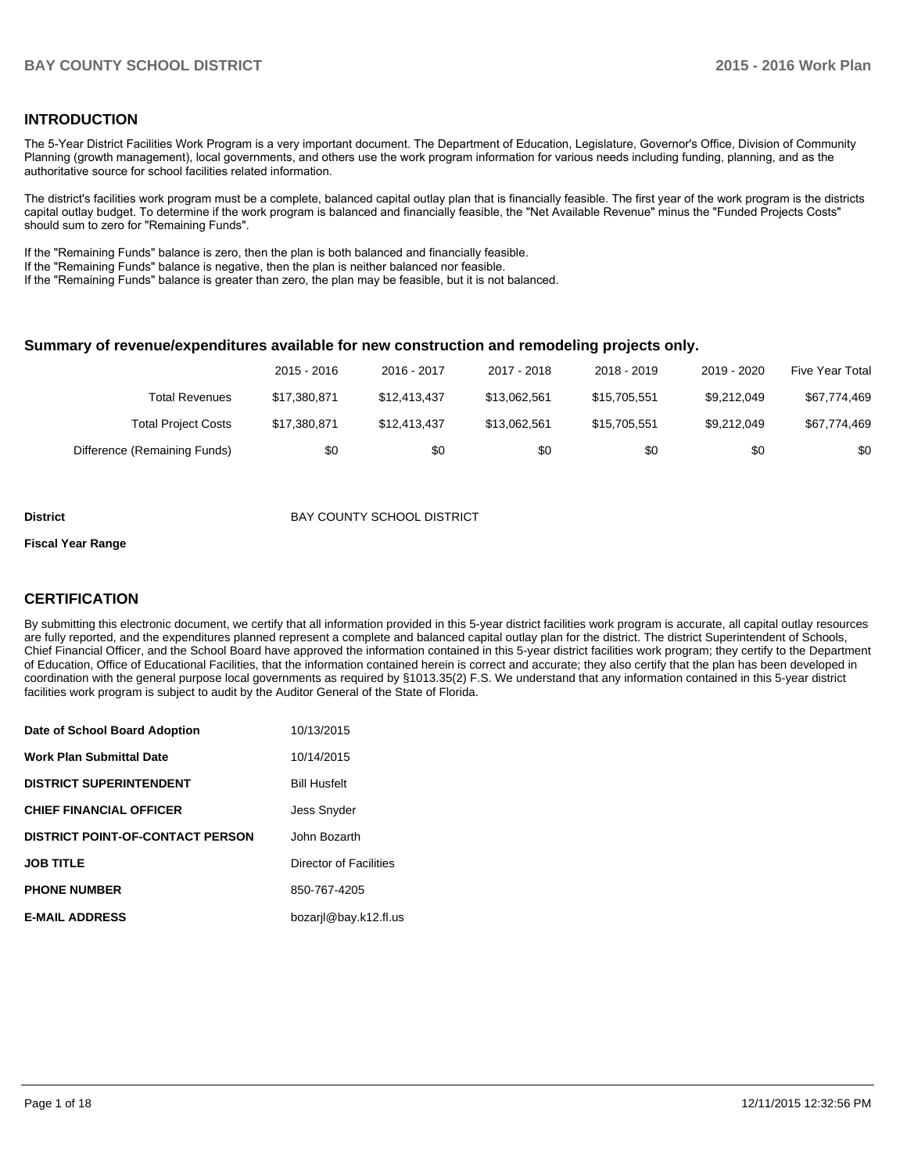## **INTRODUCTION**

The 5-Year District Facilities Work Program is a very important document. The Department of Education, Legislature, Governor's Office, Division of Community Planning (growth management), local governments, and others use the work program information for various needs including funding, planning, and as the authoritative source for school facilities related information.

The district's facilities work program must be a complete, balanced capital outlay plan that is financially feasible. The first year of the work program is the districts capital outlay budget. To determine if the work program is balanced and financially feasible, the "Net Available Revenue" minus the "Funded Projects Costs" should sum to zero for "Remaining Funds".

If the "Remaining Funds" balance is zero, then the plan is both balanced and financially feasible.

If the "Remaining Funds" balance is negative, then the plan is neither balanced nor feasible.

If the "Remaining Funds" balance is greater than zero, the plan may be feasible, but it is not balanced.

#### **Summary of revenue/expenditures available for new construction and remodeling projects only.**

|                              | 2015 - 2016  | 2016 - 2017  | 2017 - 2018  | 2018 - 2019  | 2019 - 2020 | <b>Five Year Total</b> |
|------------------------------|--------------|--------------|--------------|--------------|-------------|------------------------|
| Total Revenues               | \$17,380,871 | \$12.413.437 | \$13.062.561 | \$15.705.551 | \$9.212.049 | \$67,774,469           |
| <b>Total Project Costs</b>   | \$17,380,871 | \$12.413.437 | \$13.062.561 | \$15.705.551 | \$9.212.049 | \$67,774,469           |
| Difference (Remaining Funds) | \$0          | \$0          | \$0          | \$0          | \$0         | \$0                    |

#### **District District BAY COUNTY SCHOOL DISTRICT**

#### **Fiscal Year Range**

## **CERTIFICATION**

By submitting this electronic document, we certify that all information provided in this 5-year district facilities work program is accurate, all capital outlay resources are fully reported, and the expenditures planned represent a complete and balanced capital outlay plan for the district. The district Superintendent of Schools, Chief Financial Officer, and the School Board have approved the information contained in this 5-year district facilities work program; they certify to the Department of Education, Office of Educational Facilities, that the information contained herein is correct and accurate; they also certify that the plan has been developed in coordination with the general purpose local governments as required by §1013.35(2) F.S. We understand that any information contained in this 5-year district facilities work program is subject to audit by the Auditor General of the State of Florida.

| Date of School Board Adoption           | 10/13/2015             |
|-----------------------------------------|------------------------|
| <b>Work Plan Submittal Date</b>         | 10/14/2015             |
| <b>DISTRICT SUPERINTENDENT</b>          | <b>Bill Husfelt</b>    |
| <b>CHIEF FINANCIAL OFFICER</b>          | <b>Jess Snyder</b>     |
| <b>DISTRICT POINT-OF-CONTACT PERSON</b> | John Bozarth           |
| <b>JOB TITLE</b>                        | Director of Facilities |
| <b>PHONE NUMBER</b>                     | 850-767-4205           |
| <b>E-MAIL ADDRESS</b>                   | bozarjl@bay.k12.fl.us  |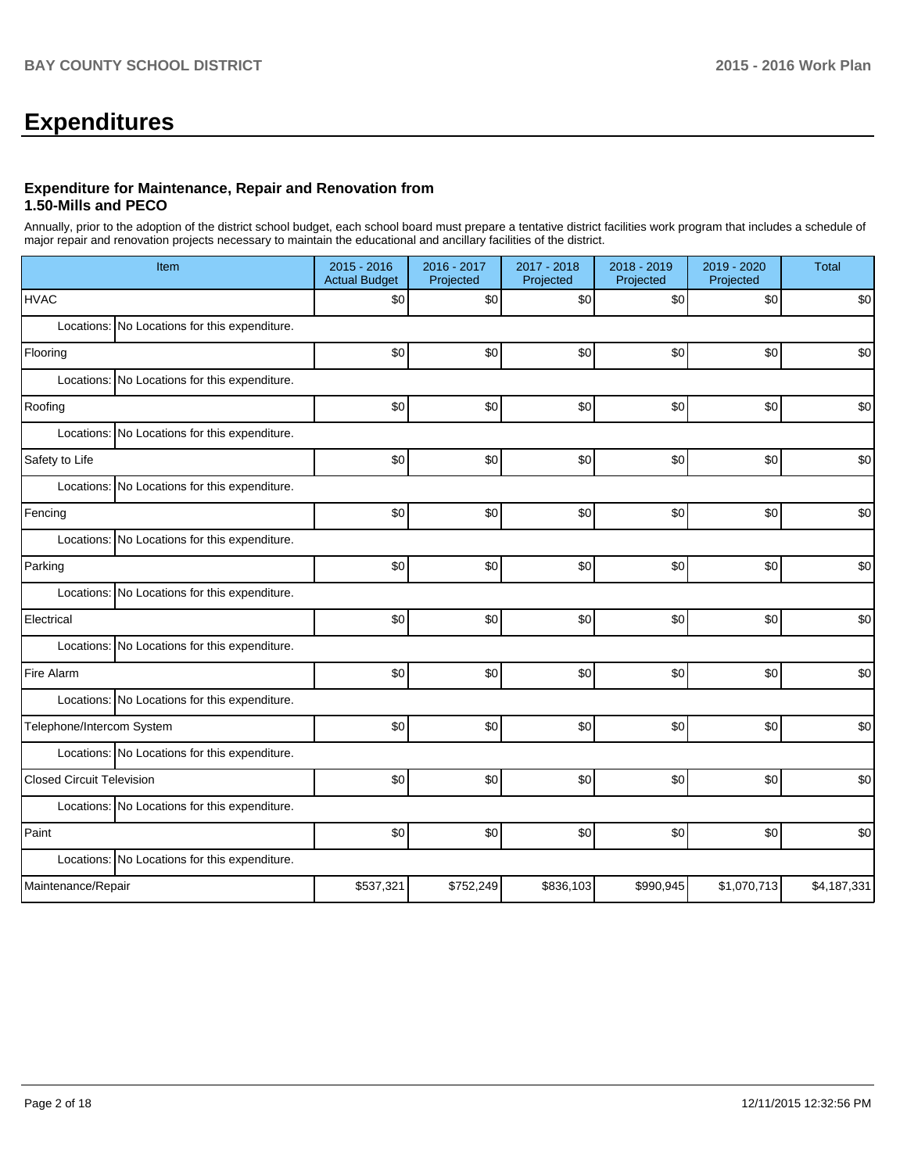# **Expenditures**

#### **Expenditure for Maintenance, Repair and Renovation from 1.50-Mills and PECO**

Annually, prior to the adoption of the district school budget, each school board must prepare a tentative district facilities work program that includes a schedule of major repair and renovation projects necessary to maintain the educational and ancillary facilities of the district.

| Item                                          | 2015 - 2016<br><b>Actual Budget</b> | 2016 - 2017<br>Projected | 2017 - 2018<br>Projected | 2018 - 2019<br>Projected | 2019 - 2020<br>Projected | <b>Total</b> |
|-----------------------------------------------|-------------------------------------|--------------------------|--------------------------|--------------------------|--------------------------|--------------|
| <b>HVAC</b>                                   | \$0                                 | \$0                      | \$0                      | \$0                      | \$0                      | \$0          |
| Locations: No Locations for this expenditure. |                                     |                          |                          |                          |                          |              |
| Flooring                                      | \$0                                 | \$0                      | \$0                      | \$0                      | \$0                      | \$0          |
| Locations: No Locations for this expenditure. |                                     |                          |                          |                          |                          |              |
| Roofing                                       | \$0                                 | \$0                      | \$0                      | \$0                      | \$0                      | \$0          |
| Locations: No Locations for this expenditure. |                                     |                          |                          |                          |                          |              |
| Safety to Life                                | \$0                                 | \$0                      | \$0                      | \$0                      | \$0                      | \$0          |
| Locations: No Locations for this expenditure. |                                     |                          |                          |                          |                          |              |
| Fencing                                       | \$0                                 | \$0                      | \$0                      | \$0                      | \$0                      | \$0          |
| Locations: No Locations for this expenditure. |                                     |                          |                          |                          |                          |              |
| Parking                                       | \$0                                 | \$0                      | \$0                      | \$0                      | \$0                      | \$0          |
| Locations: No Locations for this expenditure. |                                     |                          |                          |                          |                          |              |
| Electrical                                    | \$0                                 | \$0                      | \$0                      | \$0                      | \$0                      | \$0          |
| Locations: No Locations for this expenditure. |                                     |                          |                          |                          |                          |              |
| Fire Alarm                                    | \$0                                 | \$0                      | \$0                      | \$0                      | \$0                      | \$0          |
| Locations: No Locations for this expenditure. |                                     |                          |                          |                          |                          |              |
| Telephone/Intercom System                     | \$0                                 | \$0                      | \$0                      | \$0                      | \$0                      | \$0          |
| Locations: No Locations for this expenditure. |                                     |                          |                          |                          |                          |              |
| <b>Closed Circuit Television</b>              | \$0                                 | \$0                      | \$0                      | \$0                      | \$0                      | \$0          |
| Locations: No Locations for this expenditure. |                                     |                          |                          |                          |                          |              |
| Paint                                         | \$0                                 | \$0                      | \$0                      | \$0                      | \$0                      | \$0          |
| Locations: No Locations for this expenditure. |                                     |                          |                          |                          |                          |              |
| Maintenance/Repair                            | \$537,321                           | \$752,249                | \$836,103                | \$990,945                | \$1,070,713              | \$4,187,331  |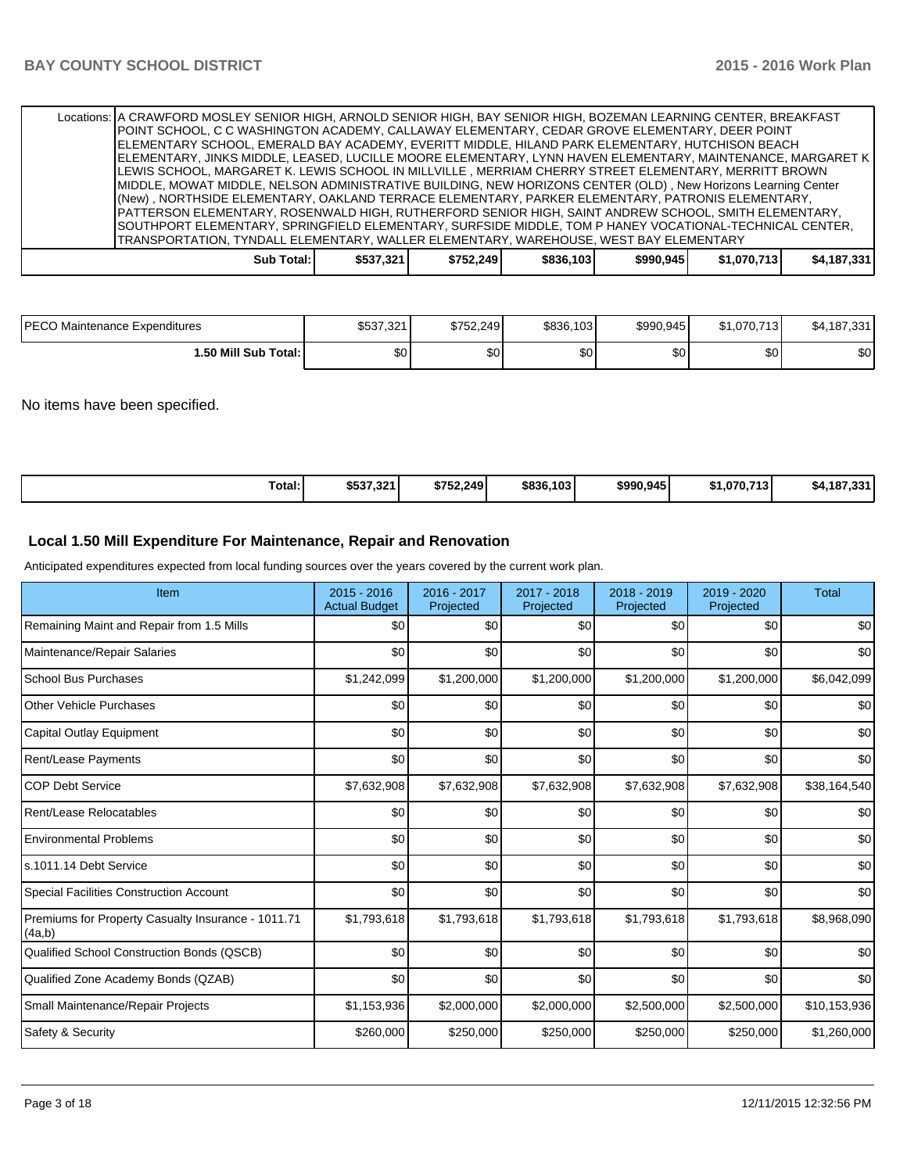| Locations:   A CRAWFORD MOSLEY SENIOR HIGH, ARNOLD SENIOR HIGH, BAY SENIOR HIGH, BOZEMAN LEARNING CENTER, BREAKFAST<br>∣POINT SCHOOL. C C WASHINGTON ACADEMY, CALLAWAY ELEMENTARY, CEDAR GROVE ELEMENTARY, DEER POINT<br>ELEMENTARY SCHOOL, EMERALD BAY ACADEMY, EVERITT MIDDLE, HILAND PARK ELEMENTARY, HUTCHISON BEACH<br> ELEMENTARY, JINKS MIDDLE, LEASED, LUCILLE MOORE ELEMENTARY, LYNN HAVEN ELEMENTARY, MAINTENANCE, MARGARET K  <br>LEWIS SCHOOL, MARGARET K. LEWIS SCHOOL IN MILLVILLE , MERRIAM CHERRY STREET ELEMENTARY, MERRITT BROWN<br>MIDDLE, MOWAT MIDDLE, NELSON ADMINISTRATIVE BUILDING, NEW HORIZONS CENTER (OLD), New Horizons Learning Center<br>(New) , NORTHSIDE ELEMENTARY, OAKLAND TERRACE ELEMENTARY, PARKER ELEMENTARY, PATRONIS ELEMENTARY,<br>PATTERSON ELEMENTARY, ROSENWALD HIGH, RUTHERFORD SENIOR HIGH, SAINT ANDREW SCHOOL, SMITH ELEMENTARY,<br>SOUTHPORT ELEMENTARY, SPRINGFIELD ELEMENTARY, SURFSIDE MIDDLE, TOM P HANEY VOCATIONAL-TECHNICAL CENTER, |           |           |           |           |             |             |
|---------------------------------------------------------------------------------------------------------------------------------------------------------------------------------------------------------------------------------------------------------------------------------------------------------------------------------------------------------------------------------------------------------------------------------------------------------------------------------------------------------------------------------------------------------------------------------------------------------------------------------------------------------------------------------------------------------------------------------------------------------------------------------------------------------------------------------------------------------------------------------------------------------------------------------------------------------------------------------------------|-----------|-----------|-----------|-----------|-------------|-------------|
| TRANSPORTATION, TYNDALL ELEMENTARY, WALLER ELEMENTARY, WAREHOUSE, WEST BAY ELEMENTARY                                                                                                                                                                                                                                                                                                                                                                                                                                                                                                                                                                                                                                                                                                                                                                                                                                                                                                       |           |           |           |           |             |             |
| Sub Total: I                                                                                                                                                                                                                                                                                                                                                                                                                                                                                                                                                                                                                                                                                                                                                                                                                                                                                                                                                                                | \$537.321 | \$752.249 | \$836,103 | \$990.945 | \$1.070.713 | \$4.187.331 |

| <b>IPECO</b><br>) Maintenance Expenditures | \$537,321 | \$752.249    | \$836,103 | \$990,945        | \$1.070.713 | ა4,187. <sup>ვი -</sup> |
|--------------------------------------------|-----------|--------------|-----------|------------------|-------------|-------------------------|
| 1.50 Mill Sub Total:                       | ሖ<br>ΦU   | $\sim$<br>ъU | ሶሳ<br>งบ  | \$0 <sub>0</sub> | ሶሳ<br>Φ∪    | \$0                     |

No items have been specified.

| Total:<br>\$537,321<br>\$752.249<br>\$836,103<br>\$1.070.713<br>\$990,945<br>\$4.187.331 |
|------------------------------------------------------------------------------------------|
|------------------------------------------------------------------------------------------|

## **Local 1.50 Mill Expenditure For Maintenance, Repair and Renovation**

Anticipated expenditures expected from local funding sources over the years covered by the current work plan.

| Item                                                         | 2015 - 2016<br><b>Actual Budget</b> | 2016 - 2017<br>Projected | 2017 - 2018<br>Projected | 2018 - 2019<br>Projected | 2019 - 2020<br>Projected | <b>Total</b> |
|--------------------------------------------------------------|-------------------------------------|--------------------------|--------------------------|--------------------------|--------------------------|--------------|
| Remaining Maint and Repair from 1.5 Mills                    | \$0                                 | \$0                      | \$0                      | \$0                      | \$0                      | \$0          |
| Maintenance/Repair Salaries                                  | \$0                                 | \$0                      | \$0                      | \$0                      | \$0                      | \$0          |
| <b>School Bus Purchases</b>                                  | \$1,242,099                         | \$1,200,000              | \$1,200,000              | \$1,200,000              | \$1,200,000              | \$6,042,099  |
| <b>Other Vehicle Purchases</b>                               | \$0                                 | \$0                      | \$0                      | \$0                      | \$0                      | \$0          |
| Capital Outlay Equipment                                     | \$0                                 | \$0                      | \$0                      | \$0                      | \$0                      | \$0          |
| <b>Rent/Lease Payments</b>                                   | \$0                                 | \$0                      | \$0                      | \$0                      | \$0                      | \$0          |
| <b>COP Debt Service</b>                                      | \$7,632,908                         | \$7,632,908              | \$7,632,908              | \$7,632,908              | \$7,632,908              | \$38,164,540 |
| Rent/Lease Relocatables                                      | \$0                                 | \$0                      | \$0                      | \$0                      | \$0                      | \$0          |
| <b>Environmental Problems</b>                                | \$0                                 | \$0                      | \$0                      | \$0                      | \$0                      | \$0          |
| s.1011.14 Debt Service                                       | \$0                                 | \$0                      | \$0                      | \$0                      | \$0                      | \$0          |
| Special Facilities Construction Account                      | \$0                                 | \$0                      | \$0                      | \$0                      | \$0                      | \$0          |
| Premiums for Property Casualty Insurance - 1011.71<br>(4a,b) | \$1,793,618                         | \$1,793,618              | \$1,793,618              | \$1,793,618              | \$1,793,618              | \$8,968,090  |
| Qualified School Construction Bonds (QSCB)                   | \$0                                 | \$0                      | \$0                      | \$0                      | \$0                      | \$0          |
| Qualified Zone Academy Bonds (QZAB)                          | \$0                                 | \$0                      | \$0                      | \$0                      | \$0                      | \$0          |
| Small Maintenance/Repair Projects                            | \$1,153,936                         | \$2,000,000              | \$2,000,000              | \$2,500,000              | \$2,500,000              | \$10,153,936 |
| Safety & Security                                            | \$260,000                           | \$250,000                | \$250,000                | \$250,000                | \$250,000                | \$1,260,000  |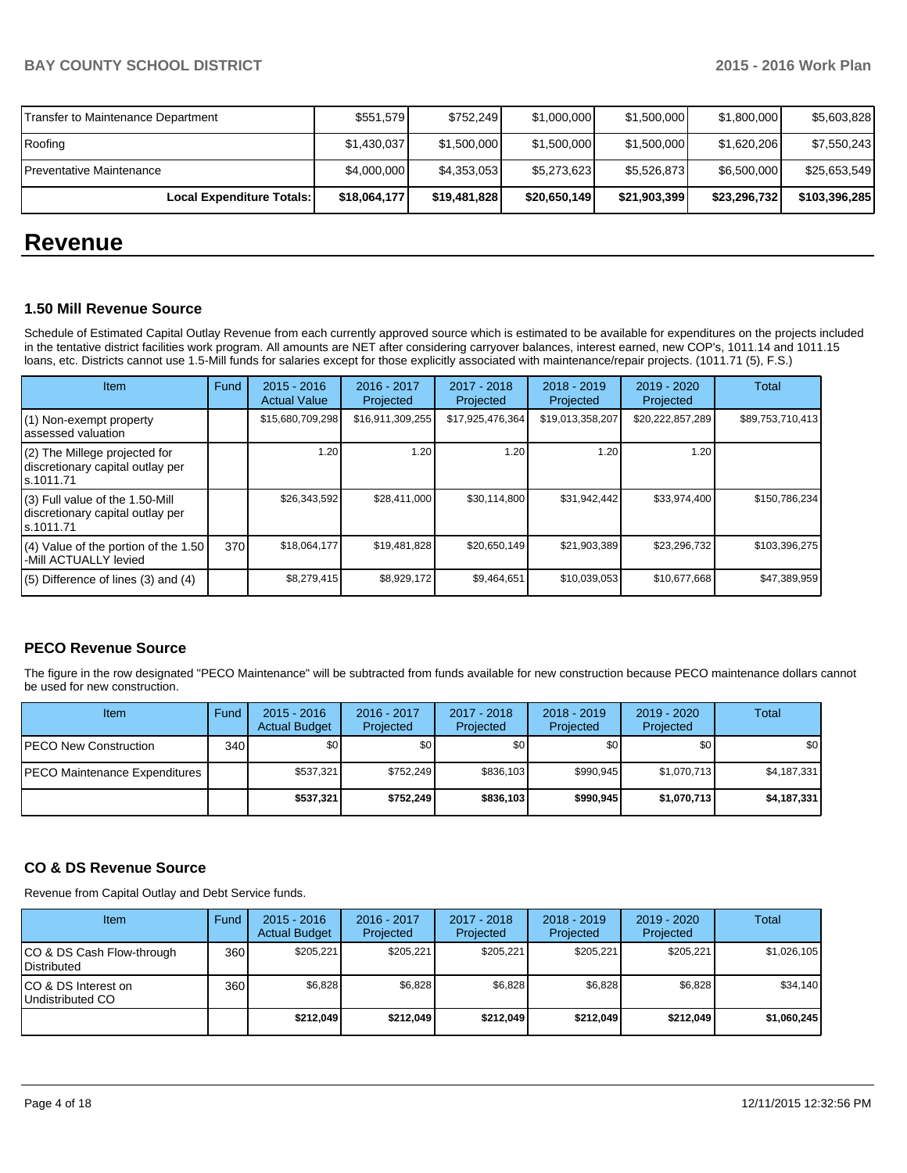| Local Expenditure Totals:          | \$18,064,177 | \$19,481,828 | \$20,650,149 | \$21,903,399 | \$23,296,732 | \$103,396,285 |
|------------------------------------|--------------|--------------|--------------|--------------|--------------|---------------|
| Preventative Maintenance           | \$4,000,000  | \$4,353,053  | \$5,273,623  | \$5,526,873  | \$6,500,000  | \$25,653,549  |
| Roofing                            | \$1,430,037  | \$1,500,000  | \$1,500,000  | \$1,500,000  | \$1,620,206  | \$7,550,243   |
| Transfer to Maintenance Department | \$551,579    | \$752.249    | \$1,000,000  | \$1,500,000  | \$1,800,000  | \$5,603,828   |

## **Revenue**

#### **1.50 Mill Revenue Source**

Schedule of Estimated Capital Outlay Revenue from each currently approved source which is estimated to be available for expenditures on the projects included in the tentative district facilities work program. All amounts are NET after considering carryover balances, interest earned, new COP's, 1011.14 and 1011.15 loans, etc. Districts cannot use 1.5-Mill funds for salaries except for those explicitly associated with maintenance/repair projects. (1011.71 (5), F.S.)

| <b>Item</b>                                                                         | Fund | $2015 - 2016$<br><b>Actual Value</b> | 2016 - 2017<br>Projected | 2017 - 2018<br>Projected | 2018 - 2019<br>Projected | 2019 - 2020<br>Projected | Total            |
|-------------------------------------------------------------------------------------|------|--------------------------------------|--------------------------|--------------------------|--------------------------|--------------------------|------------------|
| (1) Non-exempt property<br>lassessed valuation                                      |      | \$15,680,709,298                     | \$16,911,309,255         | \$17,925,476,364         | \$19,013,358,207         | \$20,222,857,289         | \$89,753,710,413 |
| (2) The Millege projected for<br>discretionary capital outlay per<br>ls.1011.71     |      | 1.20                                 | ا 20.،                   | 1.20                     | 1.20                     | 1.20                     |                  |
| $(3)$ Full value of the 1.50-Mill<br>discretionary capital outlay per<br>ls.1011.71 |      | \$26,343,592                         | \$28,411,000             | \$30,114,800             | \$31,942,442             | \$33,974,400             | \$150,786,234    |
| (4) Value of the portion of the 1.50<br>I-Mill ACTUALLY levied                      | 370  | \$18,064,177                         | \$19,481,828             | \$20,650,149             | \$21,903,389             | \$23,296,732             | \$103,396,275    |
| $(5)$ Difference of lines $(3)$ and $(4)$                                           |      | \$8,279,415                          | \$8,929,172              | \$9,464,651              | \$10,039,053             | \$10,677,668             | \$47,389,959     |

## **PECO Revenue Source**

The figure in the row designated "PECO Maintenance" will be subtracted from funds available for new construction because PECO maintenance dollars cannot be used for new construction.

| Item                          | Fund | $2015 - 2016$<br><b>Actual Budget</b> | 2016 - 2017<br>Projected | $2017 - 2018$<br>Projected | $2018 - 2019$<br>Projected | $2019 - 2020$<br>Projected | Total            |
|-------------------------------|------|---------------------------------------|--------------------------|----------------------------|----------------------------|----------------------------|------------------|
| IPECO New Construction        | 340  | \$0                                   | \$0 <sub>1</sub>         | \$0                        | \$OI                       | \$0                        | \$0 <sub>1</sub> |
| PECO Maintenance Expenditures |      | \$537.321                             | \$752.249                | \$836.103                  | \$990.945                  | \$1,070,713                | \$4,187,331      |
|                               |      | \$537,321                             | \$752,249                | \$836,103                  | \$990.945                  | \$1,070,713                | \$4,187,331      |

## **CO & DS Revenue Source**

Revenue from Capital Outlay and Debt Service funds.

| Item                                            | Fund  | $2015 - 2016$<br><b>Actual Budget</b> | $2016 - 2017$<br>Projected | $2017 - 2018$<br>Projected | $2018 - 2019$<br>Projected | $2019 - 2020$<br>Projected | Total       |
|-------------------------------------------------|-------|---------------------------------------|----------------------------|----------------------------|----------------------------|----------------------------|-------------|
| CO & DS Cash Flow-through<br><b>Distributed</b> | 360 l | \$205.221                             | \$205,221                  | \$205.221                  | \$205.221                  | \$205,221                  | \$1,026,105 |
| CO & DS Interest on<br>Undistributed CO         | 360   | \$6,828                               | \$6,828                    | \$6,828                    | \$6,828                    | \$6,828                    | \$34,140    |
|                                                 |       | \$212,049                             | \$212,049                  | \$212.049                  | \$212,049                  | \$212,049                  | \$1,060,245 |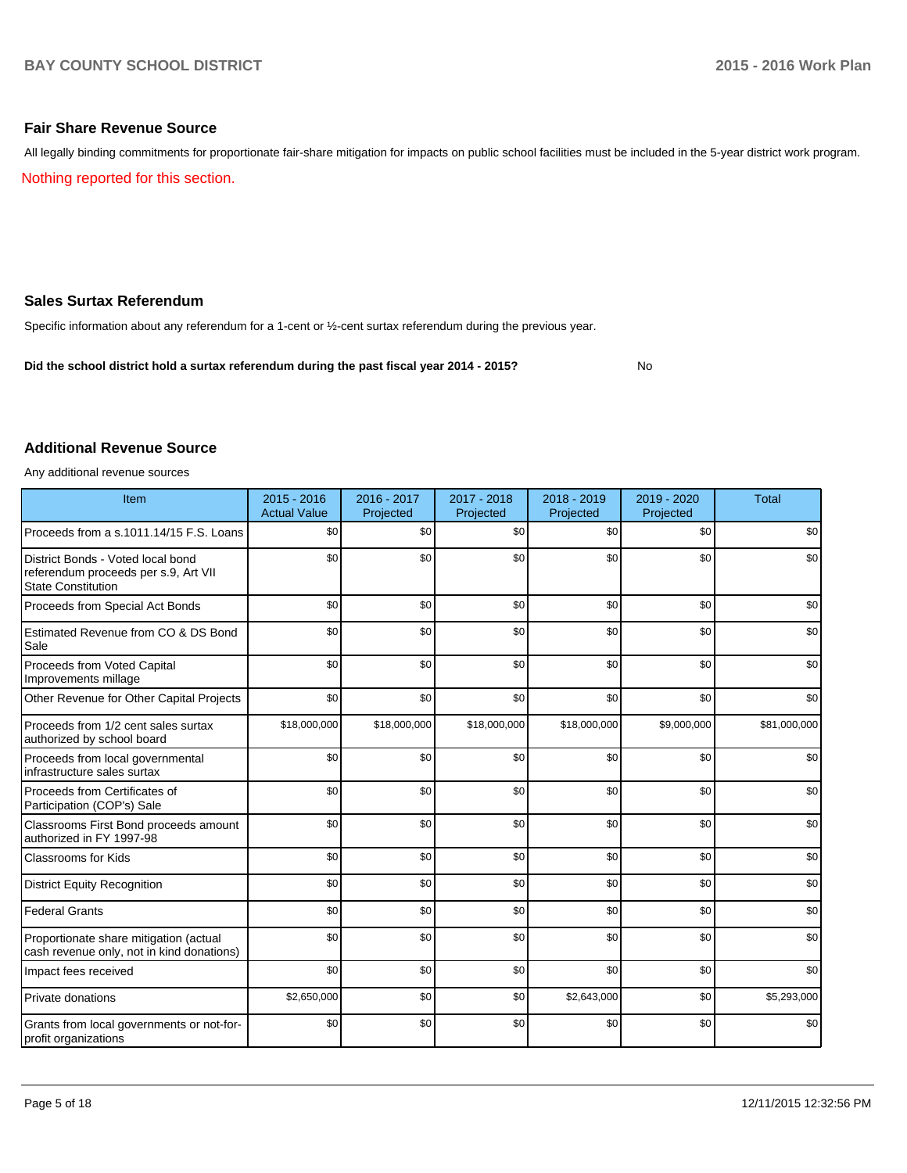## **Fair Share Revenue Source**

All legally binding commitments for proportionate fair-share mitigation for impacts on public school facilities must be included in the 5-year district work program.

Nothing reported for this section.

## **Sales Surtax Referendum**

Specific information about any referendum for a 1-cent or ½-cent surtax referendum during the previous year.

**Did the school district hold a surtax referendum during the past fiscal year 2014 - 2015?**

No

## **Additional Revenue Source**

Any additional revenue sources

| Item                                                                                                   | $2015 - 2016$<br><b>Actual Value</b> | $2016 - 2017$<br>Projected | 2017 - 2018<br>Projected | $2018 - 2019$<br>Projected | 2019 - 2020<br>Projected | <b>Total</b> |
|--------------------------------------------------------------------------------------------------------|--------------------------------------|----------------------------|--------------------------|----------------------------|--------------------------|--------------|
| Proceeds from a s.1011.14/15 F.S. Loans                                                                | \$0                                  | \$0                        | \$0                      | \$0                        | \$0                      | \$0          |
| District Bonds - Voted local bond<br>referendum proceeds per s.9, Art VII<br><b>State Constitution</b> | \$0                                  | \$0                        | \$0                      | \$0                        | \$0                      | \$0          |
| Proceeds from Special Act Bonds                                                                        | \$0                                  | \$0                        | \$0                      | \$0                        | \$0                      | \$0          |
| Estimated Revenue from CO & DS Bond<br>Sale                                                            | \$0                                  | \$0                        | \$0                      | \$0                        | \$0                      | \$0          |
| Proceeds from Voted Capital<br>Improvements millage                                                    | \$0                                  | \$0                        | \$0                      | \$0                        | \$0                      | \$0          |
| Other Revenue for Other Capital Projects                                                               | \$0                                  | \$0                        | \$0                      | \$0                        | \$0                      | \$0          |
| Proceeds from 1/2 cent sales surtax<br>authorized by school board                                      | \$18,000,000                         | \$18,000,000               | \$18,000,000             | \$18,000,000               | \$9,000,000              | \$81,000,000 |
| Proceeds from local governmental<br>infrastructure sales surtax                                        | \$0                                  | \$0                        | \$0                      | \$0                        | \$0                      | \$0          |
| Proceeds from Certificates of<br>Participation (COP's) Sale                                            | \$0                                  | \$0                        | \$0                      | \$0                        | \$0                      | \$0          |
| Classrooms First Bond proceeds amount<br>authorized in FY 1997-98                                      | \$0                                  | \$0                        | \$0                      | \$0                        | \$0                      | \$0          |
| <b>Classrooms for Kids</b>                                                                             | \$0                                  | \$0                        | \$0                      | \$0                        | \$0                      | \$0          |
| <b>District Equity Recognition</b>                                                                     | \$0                                  | \$0                        | \$0                      | \$0                        | \$0                      | \$0          |
| <b>Federal Grants</b>                                                                                  | \$0                                  | \$0                        | \$0                      | \$0                        | \$0                      | \$0          |
| Proportionate share mitigation (actual<br>cash revenue only, not in kind donations)                    | \$0                                  | \$0                        | \$0                      | \$0                        | \$0                      | \$0          |
| Impact fees received                                                                                   | \$0                                  | \$0                        | \$0                      | \$0                        | \$0                      | \$0          |
| Private donations                                                                                      | \$2,650,000                          | \$0                        | \$0                      | \$2,643,000                | \$0                      | \$5,293,000  |
| Grants from local governments or not-for-<br>profit organizations                                      | \$0                                  | \$0                        | \$0                      | \$0                        | \$0                      | \$0          |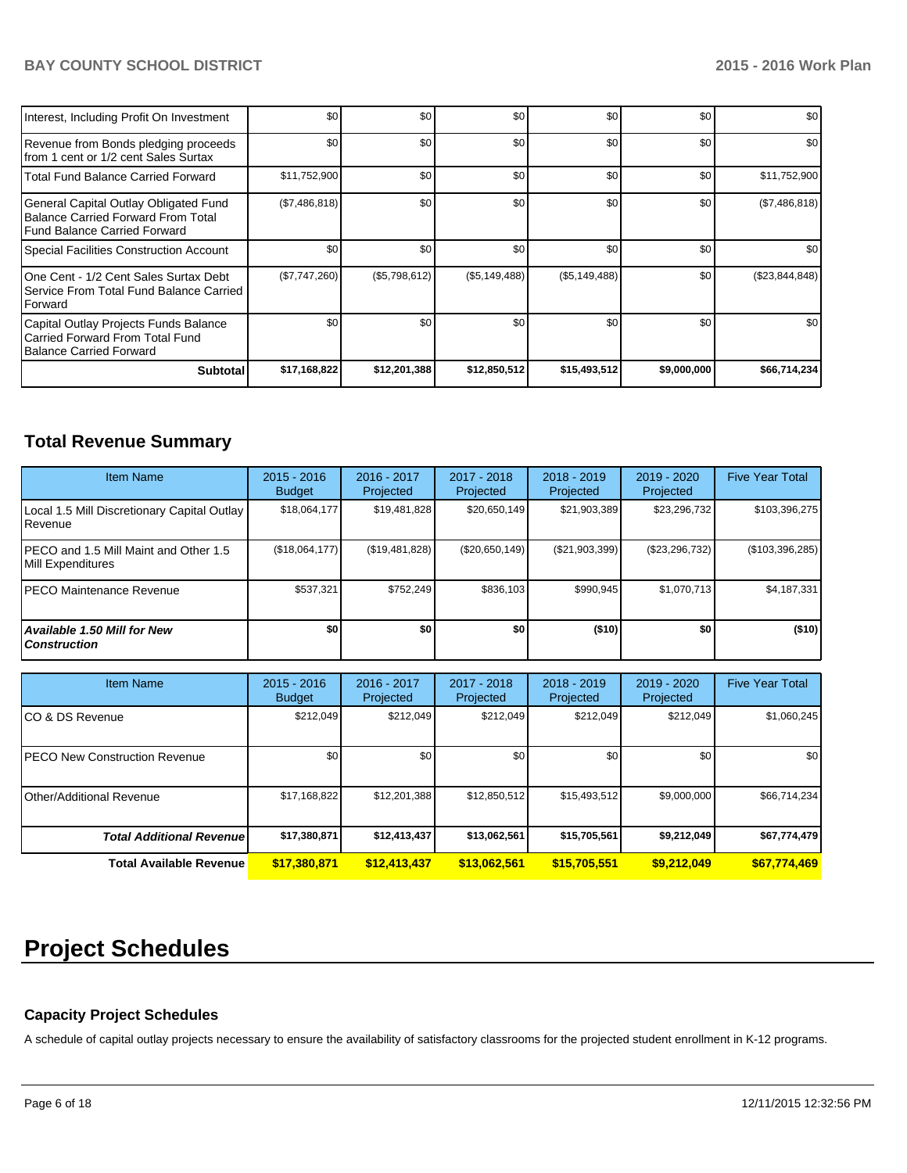| Interest, Including Profit On Investment                                                                      | \$0           | \$0           | \$0           | \$0           | \$0              | \$0            |
|---------------------------------------------------------------------------------------------------------------|---------------|---------------|---------------|---------------|------------------|----------------|
| Revenue from Bonds pledging proceeds<br>Ifrom 1 cent or 1/2 cent Sales Surtax                                 | \$0           | \$0           | \$0           | \$0           | \$0              | \$0            |
| l Total Fund Balance Carried Forward                                                                          | \$11,752,900  | \$0           | \$0           | \$0           | \$0              | \$11,752,900   |
| General Capital Outlay Obligated Fund<br>Balance Carried Forward From Total<br>l Fund Balance Carried Forward | (\$7,486,818) | \$0           | \$0           | \$0           | \$0 <sub>1</sub> | (\$7,486,818)  |
| Special Facilities Construction Account                                                                       | \$0           | \$0           | \$0           | \$0           | \$0              | \$0            |
| IOne Cent - 1/2 Cent Sales Surtax Debt<br>Service From Total Fund Balance Carried<br><b>IForward</b>          | (\$7,747,260) | (\$5,798,612) | (\$5,149,488) | (\$5,149,488) | \$0 <sub>1</sub> | (\$23,844,848) |
| Capital Outlay Projects Funds Balance<br>Carried Forward From Total Fund<br>Balance Carried Forward           | \$0           | \$0           | \$0           | \$0           | \$0              | \$0            |
| <b>Subtotal</b>                                                                                               | \$17,168,822  | \$12,201,388  | \$12,850,512  | \$15,493,512  | \$9,000,000      | \$66,714,234   |

## **Total Revenue Summary**

| <b>Item Name</b>                                            | $2015 - 2016$<br><b>Budget</b> | 2016 - 2017<br>Projected | 2017 - 2018<br>Projected | $2018 - 2019$<br>Projected | $2019 - 2020$<br>Projected | <b>Five Year Total</b> |
|-------------------------------------------------------------|--------------------------------|--------------------------|--------------------------|----------------------------|----------------------------|------------------------|
| Local 1.5 Mill Discretionary Capital Outlay<br>l Revenue    | \$18,064,177                   | \$19,481,828             | \$20,650,149             | \$21,903,389               | \$23,296,732               | \$103,396,275          |
| IPECO and 1.5 Mill Maint and Other 1.5<br>Mill Expenditures | (\$18,064,177)                 | (\$19,481,828)           | $(\$20,650,149)$         | (S21, 903, 399)            | (\$23,296,732)             | $(\$103,396,285)$      |
| IPECO Maintenance Revenue                                   | \$537.321                      | \$752.249                | \$836.103                | \$990.945                  | \$1.070.713                | \$4,187,331            |
| Available 1.50 Mill for New \,<br>l Construction            | \$0                            | \$0                      | \$0                      | ( \$10]                    | \$O I                      | (\$10)                 |

| <b>Item Name</b>                 | $2015 - 2016$<br><b>Budget</b> | 2016 - 2017<br>Projected | 2017 - 2018<br>Projected | $2018 - 2019$<br>Projected | $2019 - 2020$<br>Projected | <b>Five Year Total</b> |
|----------------------------------|--------------------------------|--------------------------|--------------------------|----------------------------|----------------------------|------------------------|
| ICO & DS Revenue                 | \$212,049                      | \$212,049                | \$212.049                | \$212,049                  | \$212,049                  | \$1,060,245            |
| IPECO New Construction Revenue   | \$0                            | \$0                      | \$0                      | \$0                        | \$0 <sub>1</sub>           | \$0                    |
| <b>Other/Additional Revenue</b>  | \$17,168,822                   | \$12,201,388             | \$12,850,512             | \$15,493,512               | \$9,000,000                | \$66,714,234           |
| <b>Total Additional Revenuel</b> | \$17,380,871                   | \$12,413,437             | \$13,062,561             | \$15,705,561               | \$9,212,049                | \$67,774,479           |
| Total Available Revenue          | \$17,380,871                   | \$12,413,437             | \$13,062,561             | \$15,705,551               | \$9.212.049                | \$67,774,469           |

# **Project Schedules**

## **Capacity Project Schedules**

A schedule of capital outlay projects necessary to ensure the availability of satisfactory classrooms for the projected student enrollment in K-12 programs.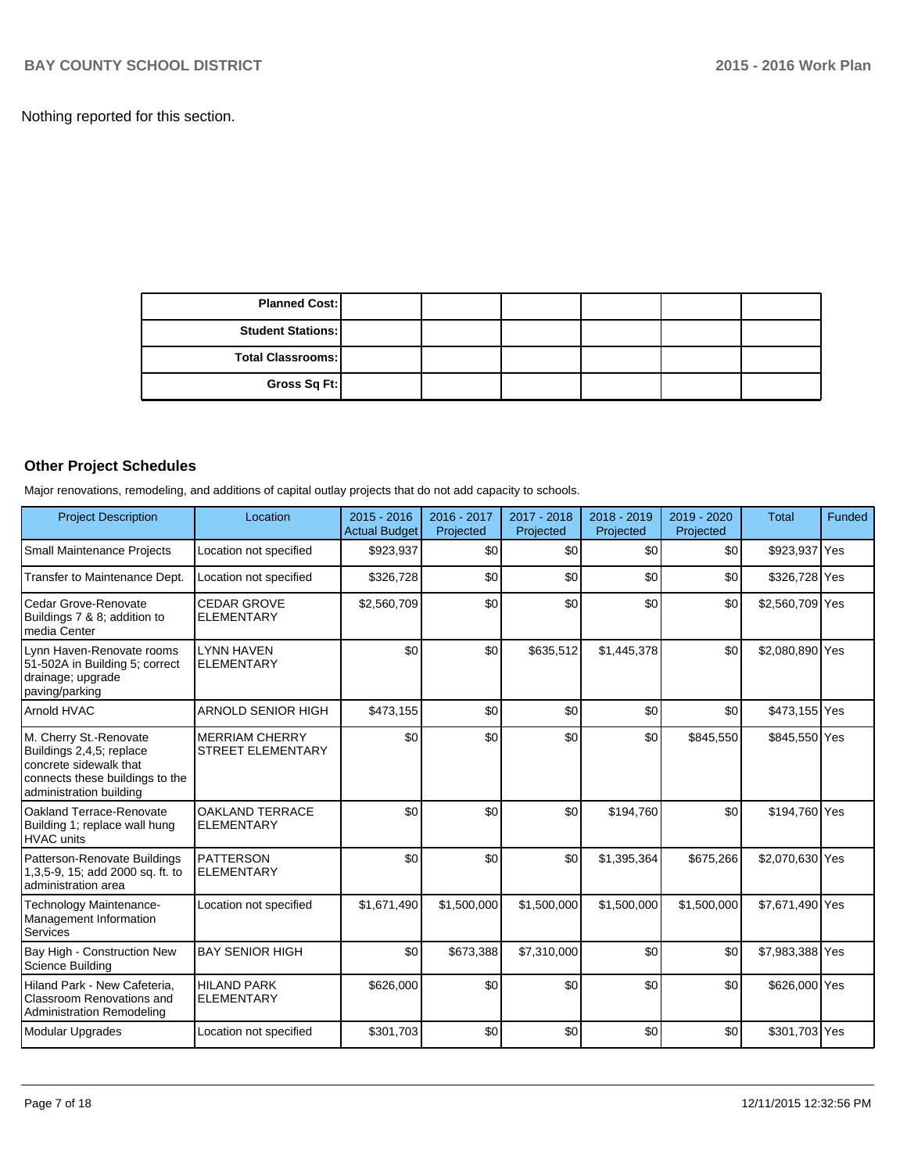Nothing reported for this section.

| <b>Planned Cost:</b>     |  |  |  |
|--------------------------|--|--|--|
| <b>Student Stations:</b> |  |  |  |
| <b>Total Classrooms:</b> |  |  |  |
| Gross Sq Ft:             |  |  |  |

## **Other Project Schedules**

Major renovations, remodeling, and additions of capital outlay projects that do not add capacity to schools.

| <b>Project Description</b>                                                                                                                 | Location                                          | $2015 - 2016$<br><b>Actual Budget</b> | 2016 - 2017<br>Projected | $2017 - 2018$<br>Projected | $2018 - 2019$<br>Projected | $2019 - 2020$<br>Projected | <b>Total</b>    | Funded |
|--------------------------------------------------------------------------------------------------------------------------------------------|---------------------------------------------------|---------------------------------------|--------------------------|----------------------------|----------------------------|----------------------------|-----------------|--------|
| Small Maintenance Projects                                                                                                                 | Location not specified                            | \$923,937                             | \$0                      | \$0                        | \$0                        | \$0                        | \$923,937 Yes   |        |
| Transfer to Maintenance Dept.                                                                                                              | Location not specified                            | \$326,728                             | \$0                      | \$0                        | \$0                        | \$0                        | \$326,728 Yes   |        |
| l Cedar Grove-Renovate<br>Buildings 7 & 8; addition to<br>Imedia Center                                                                    | <b>CEDAR GROVE</b><br><b>ELEMENTARY</b>           | \$2,560,709                           | \$0                      | \$0                        | \$0                        | \$0                        | \$2,560,709 Yes |        |
| Lynn Haven-Renovate rooms<br>51-502A in Building 5; correct<br>drainage; upgrade<br>paving/parking                                         | <b>LYNN HAVEN</b><br><b>ELEMENTARY</b>            | \$0                                   | \$0                      | \$635,512                  | \$1,445,378                | \$0                        | \$2,080,890 Yes |        |
| <b>Arnold HVAC</b>                                                                                                                         | <b>ARNOLD SENIOR HIGH</b>                         | \$473,155                             | \$0                      | \$0                        | \$0                        | \$0                        | \$473,155 Yes   |        |
| M. Cherry St.-Renovate<br>Buildings 2,4,5; replace<br>concrete sidewalk that<br>connects these buildings to the<br>administration building | <b>MERRIAM CHERRY</b><br><b>STREET ELEMENTARY</b> | \$0                                   | \$0                      | \$0                        | \$0                        | \$845,550                  | \$845,550 Yes   |        |
| Oakland Terrace-Renovate<br>Building 1; replace wall hung<br><b>HVAC</b> units                                                             | <b>OAKLAND TERRACE</b><br><b>ELEMENTARY</b>       | \$0                                   | \$0                      | \$0                        | \$194,760                  | \$0                        | \$194,760 Yes   |        |
| Patterson-Renovate Buildings<br>1,3,5-9, 15; add 2000 sq. ft. to<br>Iadministration area                                                   | <b>PATTERSON</b><br><b>ELEMENTARY</b>             | \$0                                   | \$0                      | \$0                        | \$1,395,364                | \$675,266                  | \$2,070,630 Yes |        |
| Technology Maintenance-<br>Management Information<br>Services                                                                              | Location not specified                            | \$1,671,490                           | \$1,500,000              | \$1,500,000                | \$1,500,000                | \$1,500,000                | \$7,671,490 Yes |        |
| Bay High - Construction New<br>Science Building                                                                                            | <b>BAY SENIOR HIGH</b>                            | \$0                                   | \$673,388                | \$7,310,000                | \$0                        | \$0                        | \$7,983,388 Yes |        |
| Hiland Park - New Cafeteria.<br><b>Classroom Renovations and</b><br>Administration Remodeling                                              | <b>HILAND PARK</b><br><b>ELEMENTARY</b>           | \$626,000                             | \$0                      | \$0                        | \$0                        | \$0                        | \$626,000 Yes   |        |
| Modular Upgrades                                                                                                                           | Location not specified                            | \$301,703                             | \$0                      | \$0                        | \$0                        | \$0                        | \$301,703 Yes   |        |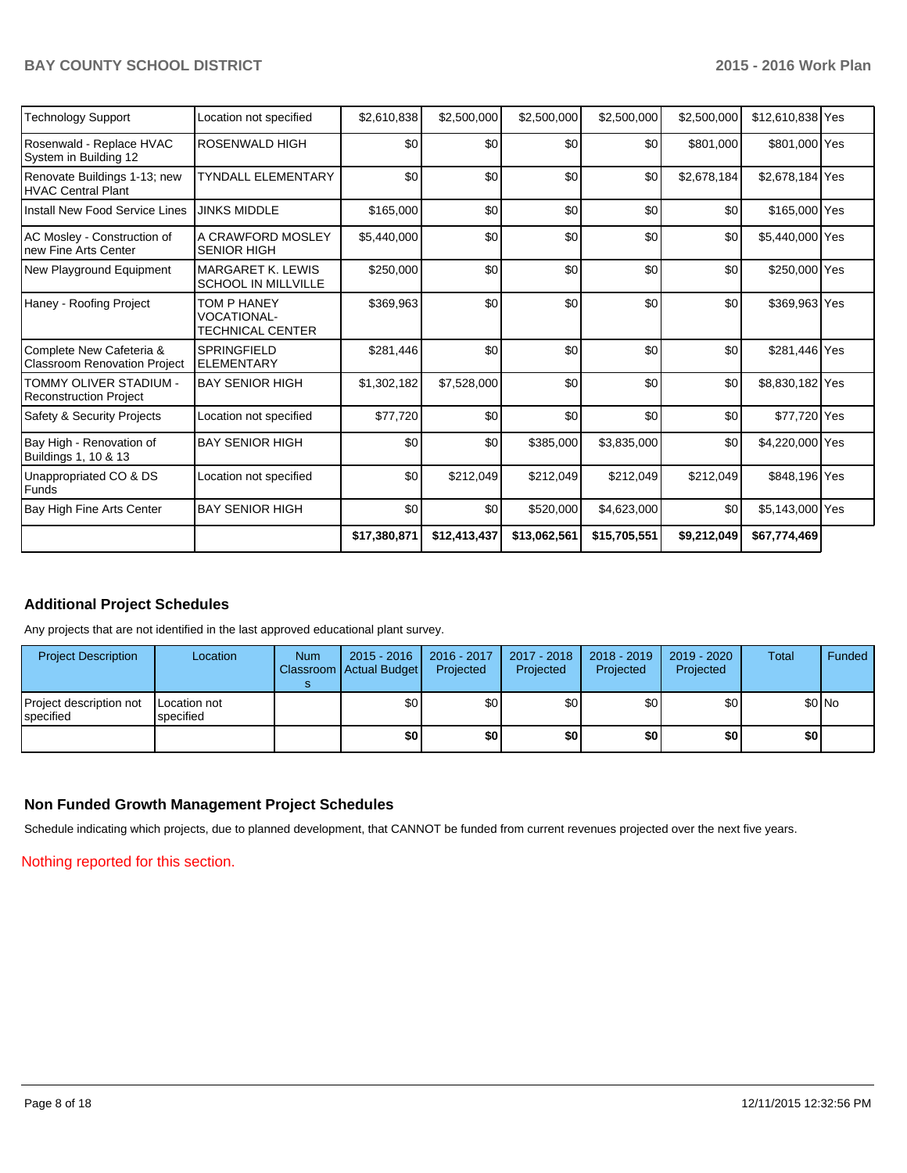| <b>Technology Support</b>                                       | Location not specified                                       | \$2,610,838  | \$2,500,000  | \$2,500,000  | \$2,500,000  | \$2,500,000 | \$12,610,838 Yes |  |
|-----------------------------------------------------------------|--------------------------------------------------------------|--------------|--------------|--------------|--------------|-------------|------------------|--|
| Rosenwald - Replace HVAC<br>System in Building 12               | ROSENWALD HIGH                                               | \$0          | \$0          | \$0          | \$0          | \$801,000   | \$801,000 Yes    |  |
| Renovate Buildings 1-13; new<br><b>HVAC Central Plant</b>       | <b>TYNDALL ELEMENTARY</b>                                    | \$0          | \$0          | \$0          | \$0          | \$2,678,184 | \$2,678,184 Yes  |  |
| Install New Food Service Lines                                  | <b>JINKS MIDDLE</b>                                          | \$165,000    | \$0          | \$0          | \$0          | \$0         | \$165,000 Yes    |  |
| AC Mosley - Construction of<br>new Fine Arts Center             | A CRAWFORD MOSLEY<br><b>SENIOR HIGH</b>                      | \$5,440,000  | \$0          | \$0          | \$0          | \$0         | \$5,440,000 Yes  |  |
| New Playground Equipment                                        | <b>MARGARET K. LEWIS</b><br>SCHOOL IN MILLVILLE              | \$250,000    | \$0          | \$0          | \$0          | \$0         | \$250,000 Yes    |  |
| Haney - Roofing Project                                         | TOM P HANEY<br><b>VOCATIONAL-</b><br><b>TECHNICAL CENTER</b> | \$369,963    | \$0          | \$0          | \$0          | \$0         | \$369,963 Yes    |  |
| Complete New Cafeteria &<br><b>Classroom Renovation Project</b> | <b>SPRINGFIELD</b><br><b>ELEMENTARY</b>                      | \$281,446    | \$0          | \$0          | \$0          | \$0         | \$281,446 Yes    |  |
| TOMMY OLIVER STADIUM -<br><b>Reconstruction Project</b>         | <b>BAY SENIOR HIGH</b>                                       | \$1,302,182  | \$7,528,000  | \$0          | \$0          | \$0         | \$8,830,182 Yes  |  |
| Safety & Security Projects                                      | Location not specified                                       | \$77,720     | \$0          | \$0          | \$0          | \$0         | \$77,720 Yes     |  |
| Bay High - Renovation of<br>Buildings 1, 10 & 13                | <b>BAY SENIOR HIGH</b>                                       | \$0          | \$0          | \$385,000    | \$3,835,000  | \$0         | \$4,220,000 Yes  |  |
| Unappropriated CO & DS<br>Funds                                 | Location not specified                                       | \$0          | \$212,049    | \$212,049    | \$212,049    | \$212,049   | \$848,196 Yes    |  |
| Bay High Fine Arts Center                                       | <b>BAY SENIOR HIGH</b>                                       | \$0          | \$0          | \$520,000    | \$4,623,000  | \$0         | \$5,143,000 Yes  |  |
|                                                                 |                                                              | \$17,380,871 | \$12,413,437 | \$13,062,561 | \$15,705,551 | \$9,212,049 | \$67,774,469     |  |

## **Additional Project Schedules**

Any projects that are not identified in the last approved educational plant survey.

| <b>Project Description</b>           | Location                  | <b>Num</b> | 2015 - 2016<br>Classroom   Actual Budget | 2016 - 2017<br>Projected | 2017 - 2018<br>Projected | 2018 - 2019<br>Projected | 2019 - 2020<br>Projected | Total | Funded |
|--------------------------------------|---------------------------|------------|------------------------------------------|--------------------------|--------------------------|--------------------------|--------------------------|-------|--------|
| Project description not<br>specified | Location not<br>specified |            | \$0                                      | \$٥Ι                     | \$0                      | ا 30                     | \$0                      |       | \$0 No |
|                                      |                           |            | \$0                                      | \$0                      | \$0                      | \$0 I                    | \$0                      | \$O   |        |

## **Non Funded Growth Management Project Schedules**

Schedule indicating which projects, due to planned development, that CANNOT be funded from current revenues projected over the next five years.

Nothing reported for this section.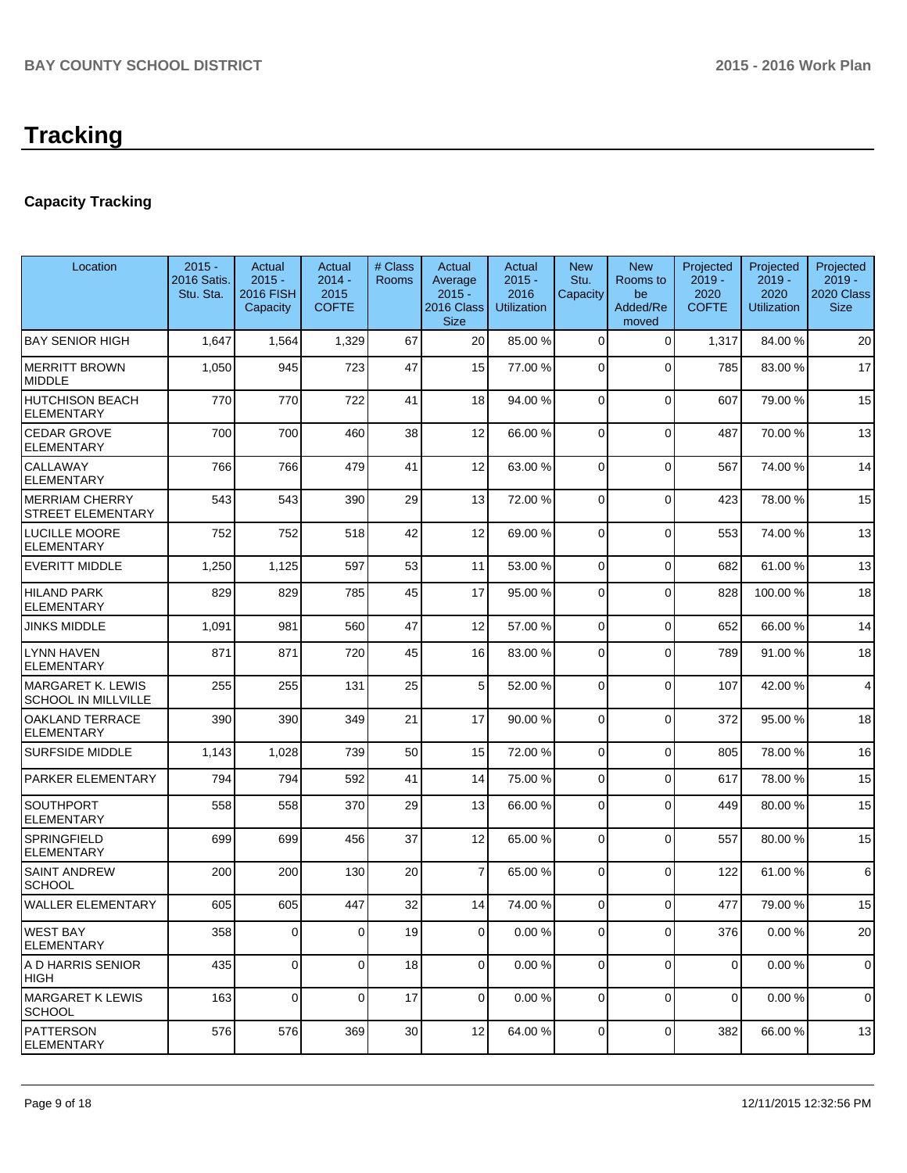# **Tracking**

## **Capacity Tracking**

| Location                                               | $2015 -$<br>2016 Satis.<br>Stu. Sta. | Actual<br>$2015 -$<br><b>2016 FISH</b><br>Capacity | Actual<br>$2014 -$<br>2015<br><b>COFTE</b> | # Class<br><b>Rooms</b> | Actual<br>Average<br>$2015 -$<br>2016 Class<br><b>Size</b> | Actual<br>$2015 -$<br>2016<br><b>Utilization</b> | <b>New</b><br>Stu.<br>Capacity | <b>New</b><br>Rooms to<br>be<br>Added/Re<br>moved | Projected<br>$2019 -$<br>2020<br><b>COFTE</b> | Projected<br>$2019 -$<br>2020<br><b>Utilization</b> | Projected<br>$2019 -$<br>2020 Class<br><b>Size</b> |
|--------------------------------------------------------|--------------------------------------|----------------------------------------------------|--------------------------------------------|-------------------------|------------------------------------------------------------|--------------------------------------------------|--------------------------------|---------------------------------------------------|-----------------------------------------------|-----------------------------------------------------|----------------------------------------------------|
| <b>BAY SENIOR HIGH</b>                                 | 1,647                                | 1,564                                              | 1,329                                      | 67                      | 20                                                         | 85.00 %                                          | $\mathbf 0$                    | $\mathbf 0$                                       | 1,317                                         | 84.00%                                              | 20                                                 |
| <b>MERRITT BROWN</b><br><b>MIDDLE</b>                  | 1,050                                | 945                                                | 723                                        | 47                      | 15                                                         | 77.00 %                                          | $\overline{0}$                 | $\Omega$                                          | 785                                           | 83.00 %                                             | 17                                                 |
| <b>HUTCHISON BEACH</b><br><b>ELEMENTARY</b>            | 770                                  | 770                                                | 722                                        | 41                      | 18                                                         | 94.00 %                                          | 0                              | $\mathbf 0$                                       | 607                                           | 79.00 %                                             | 15                                                 |
| <b>CEDAR GROVE</b><br><b>ELEMENTARY</b>                | 700                                  | 700                                                | 460                                        | 38                      | 12                                                         | 66.00 %                                          | 0                              | $\mathbf 0$                                       | 487                                           | 70.00%                                              | 13                                                 |
| <b>CALLAWAY</b><br><b>ELEMENTARY</b>                   | 766                                  | 766                                                | 479                                        | 41                      | 12                                                         | 63.00 %                                          | $\overline{0}$                 | $\mathbf 0$                                       | 567                                           | 74.00%                                              | 14                                                 |
| <b>MERRIAM CHERRY</b><br><b>STREET ELEMENTARY</b>      | 543                                  | 543                                                | 390                                        | 29                      | 13                                                         | 72.00 %                                          | $\Omega$                       | $\Omega$                                          | 423                                           | 78.00 %                                             | 15                                                 |
| <b>LUCILLE MOORE</b><br><b>ELEMENTARY</b>              | 752                                  | 752                                                | 518                                        | 42                      | 12                                                         | 69.00 %                                          | $\mathbf 0$                    | $\Omega$                                          | 553                                           | 74.00%                                              | 13                                                 |
| <b>EVERITT MIDDLE</b>                                  | 1,250                                | 1,125                                              | 597                                        | 53                      | 11                                                         | 53.00 %                                          | $\Omega$                       | $\Omega$                                          | 682                                           | 61.00%                                              | 13                                                 |
| <b>HILAND PARK</b><br><b>ELEMENTARY</b>                | 829                                  | 829                                                | 785                                        | 45                      | 17                                                         | 95.00 %                                          | $\Omega$                       | $\Omega$                                          | 828                                           | 100.00%                                             | 18                                                 |
| <b>JINKS MIDDLE</b>                                    | 1,091                                | 981                                                | 560                                        | 47                      | 12                                                         | 57.00 %                                          | $\overline{0}$                 | $\mathbf 0$                                       | 652                                           | 66.00 %                                             | 14                                                 |
| <b>LYNN HAVEN</b><br><b>ELEMENTARY</b>                 | 871                                  | 871                                                | 720                                        | 45                      | 16                                                         | 83.00 %                                          | $\overline{0}$                 | $\Omega$                                          | 789                                           | 91.00%                                              | 18                                                 |
| <b>MARGARET K. LEWIS</b><br><b>SCHOOL IN MILLVILLE</b> | 255                                  | 255                                                | 131                                        | 25                      | 5 <sup>1</sup>                                             | 52.00 %                                          | $\Omega$                       | $\Omega$                                          | 107                                           | 42.00%                                              | $\overline{\mathbf{4}}$                            |
| <b>OAKLAND TERRACE</b><br><b>ELEMENTARY</b>            | 390                                  | 390                                                | 349                                        | 21                      | 17                                                         | 90.00 %                                          | 0                              | $\Omega$                                          | 372                                           | 95.00 %                                             | 18                                                 |
| <b>SURFSIDE MIDDLE</b>                                 | 1,143                                | 1,028                                              | 739                                        | 50                      | 15                                                         | 72.00 %                                          | $\Omega$                       | $\Omega$                                          | 805                                           | 78.00 %                                             | 16                                                 |
| PARKER ELEMENTARY                                      | 794                                  | 794                                                | 592                                        | 41                      | 14                                                         | 75.00 %                                          | $\Omega$                       | $\Omega$                                          | 617                                           | 78.00 %                                             | 15                                                 |
| <b>SOUTHPORT</b><br><b>ELEMENTARY</b>                  | 558                                  | 558                                                | 370                                        | 29                      | 13                                                         | 66.00 %                                          | 0                              | $\Omega$                                          | 449                                           | 80.00%                                              | 15                                                 |
| <b>SPRINGFIELD</b><br><b>ELEMENTARY</b>                | 699                                  | 699                                                | 456                                        | 37                      | 12                                                         | 65.00 %                                          | $\overline{0}$                 | $\mathbf 0$                                       | 557                                           | 80.00%                                              | 15                                                 |
| <b>SAINT ANDREW</b><br><b>SCHOOL</b>                   | 200                                  | 200                                                | 130                                        | 20                      | $\overline{7}$                                             | 65.00 %                                          | $\Omega$                       | $\Omega$                                          | 122                                           | 61.00%                                              | 6                                                  |
| <b>WALLER ELEMENTARY</b>                               | 605                                  | 605                                                | 447                                        | 32                      | 14                                                         | 74.00 %                                          | 0                              | $\Omega$                                          | 477                                           | 79.00 %                                             | 15                                                 |
| <b>WEST BAY</b><br><b>ELEMENTARY</b>                   | 358                                  | 0                                                  | 0                                          | 19                      | $\overline{0}$                                             | 0.00%                                            | 0                              | $\Omega$                                          | 376                                           | 0.00%                                               | 20                                                 |
| A D HARRIS SENIOR<br><b>HIGH</b>                       | 435                                  | $\mathbf 0$                                        | $\Omega$                                   | 18                      | $\overline{0}$                                             | 0.00%                                            | $\overline{0}$                 | $\Omega$                                          | $\mathbf 0$                                   | 0.00%                                               | 0                                                  |
| <b>MARGARET K LEWIS</b><br><b>SCHOOL</b>               | 163                                  | $\mathbf 0$                                        | $\overline{0}$                             | 17                      | $\overline{0}$                                             | 0.00%                                            | $\overline{0}$                 | 0                                                 | $\overline{0}$                                | 0.00%                                               | $\mathbf 0$                                        |
| <b>PATTERSON</b><br><b>ELEMENTARY</b>                  | 576                                  | 576                                                | 369                                        | $30$                    | 12                                                         | 64.00 %                                          | $\overline{0}$                 | 0                                                 | 382                                           | 66.00 %                                             | 13                                                 |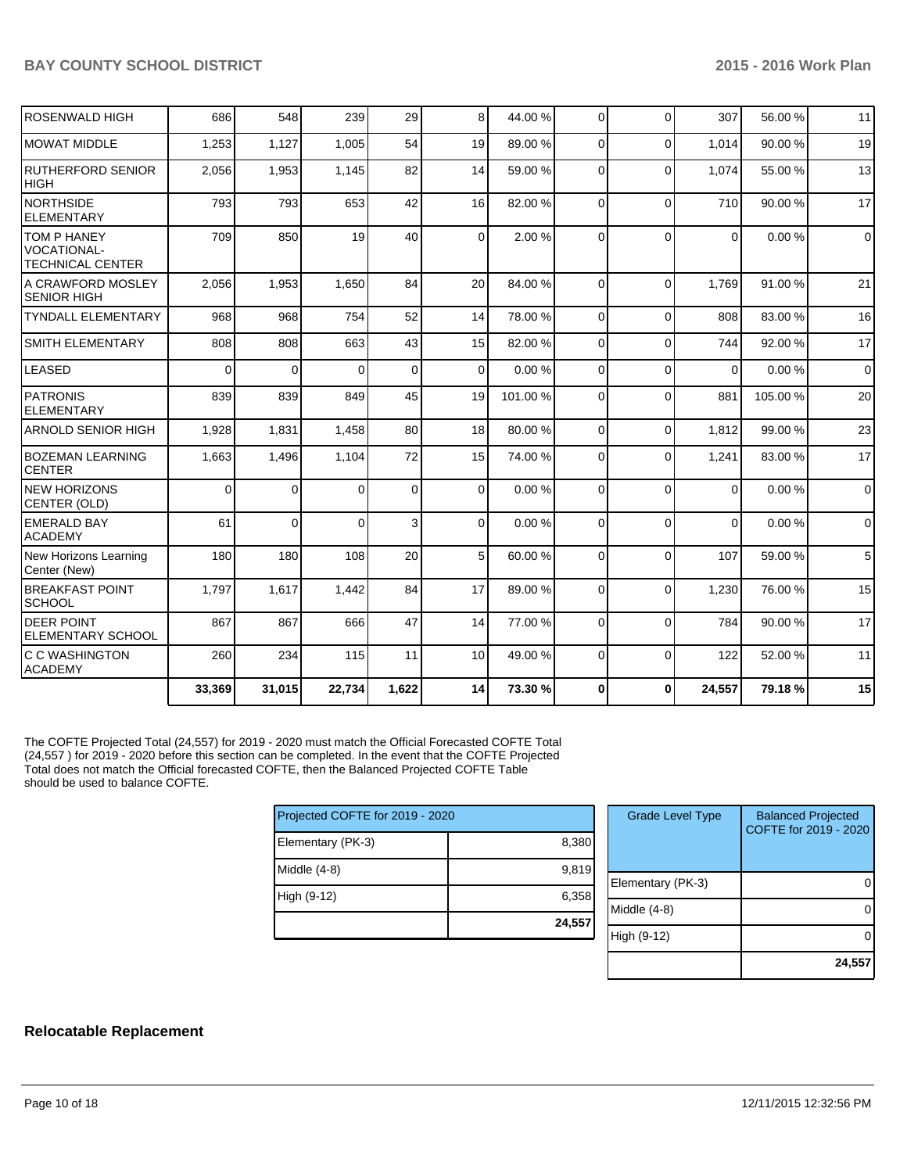| <b>ROSENWALD HIGH</b>                                               | 686      | 548            | 239      | 29             | 8               | 44.00 % | $\Omega$ | $\Omega$    | 307         | 56.00 % | 11          |
|---------------------------------------------------------------------|----------|----------------|----------|----------------|-----------------|---------|----------|-------------|-------------|---------|-------------|
| <b>MOWAT MIDDLE</b>                                                 | 1,253    | 1,127          | 1,005    | 54             | 19              | 89.00 % | $\Omega$ | $\Omega$    | 1,014       | 90.00 % | 19          |
| <b>RUTHERFORD SENIOR</b><br><b>HIGH</b>                             | 2,056    | 1,953          | 1,145    | 82             | 14              | 59.00 % | $\Omega$ | $\Omega$    | 1,074       | 55.00 % | 13          |
| <b>NORTHSIDE</b><br><b>ELEMENTARY</b>                               | 793      | 793            | 653      | 42             | 16              | 82.00 % | $\Omega$ | $\Omega$    | 710         | 90.00%  | 17          |
| <b>TOM P HANEY</b><br><b>VOCATIONAL-</b><br><b>TECHNICAL CENTER</b> | 709      | 850            | 19       | 40             | $\Omega$        | 2.00%   | $\Omega$ | $\Omega$    | $\Omega$    | 0.00%   | $\Omega$    |
| A CRAWFORD MOSLEY<br><b>SENIOR HIGH</b>                             | 2,056    | 1,953          | 1,650    | 84             | 20              | 84.00 % | $\Omega$ | $\Omega$    | 1.769       | 91.00%  | 21          |
| <b>TYNDALL ELEMENTARY</b>                                           | 968      | 968            | 754      | 52             | 14              | 78.00 % | $\Omega$ | $\Omega$    | 808         | 83.00 % | 16          |
| SMITH ELEMENTARY                                                    | 808      | 808            | 663      | 43             | 15              | 82.00 % | $\Omega$ | $\Omega$    | 744         | 92.00%  | 17          |
| <b>LEASED</b>                                                       | $\Omega$ | $\overline{0}$ | $\Omega$ | $\overline{0}$ | $\mathbf 0$     | 0.00%   | 0        | $\mathbf 0$ | $\mathbf 0$ | 0.00%   | $\mathbf 0$ |
| <b>PATRONIS</b><br><b>ELEMENTARY</b>                                | 839      | 839            | 849      | 45             | 19              | 101.00% | $\Omega$ | $\Omega$    | 881         | 105.00% | 20          |
| <b>ARNOLD SENIOR HIGH</b>                                           | 1,928    | 1,831          | 1,458    | 80             | 18              | 80.00 % | $\Omega$ | $\Omega$    | 1,812       | 99.00 % | 23          |
| <b>BOZEMAN LEARNING</b><br><b>CENTER</b>                            | 1,663    | 1,496          | 1,104    | 72             | 15              | 74.00 % | $\Omega$ | $\Omega$    | 1,241       | 83.00 % | 17          |
| <b>NEW HORIZONS</b><br>CENTER (OLD)                                 | $\Omega$ | $\overline{0}$ | $\Omega$ | $\Omega$       | $\Omega$        | 0.00%   | $\Omega$ | $\Omega$    | $\Omega$    | 0.00%   | $\Omega$    |
| <b>EMERALD BAY</b><br><b>ACADEMY</b>                                | 61       | $\overline{0}$ | $\Omega$ | 3              | $\Omega$        | 0.00%   | $\Omega$ | $\Omega$    | $\Omega$    | 0.00%   | $\Omega$    |
| New Horizons Learning<br>Center (New)                               | 180      | 180            | 108      | 20             | 5               | 60.00 % | $\Omega$ | $\Omega$    | 107         | 59.00 % | 5           |
| <b>BREAKFAST POINT</b><br><b>SCHOOL</b>                             | 1,797    | 1,617          | 1,442    | 84             | 17              | 89.00 % | 0        | $\Omega$    | 1,230       | 76.00 % | 15          |
| <b>DEER POINT</b><br><b>ELEMENTARY SCHOOL</b>                       | 867      | 867            | 666      | 47             | 14              | 77.00 % | 0        | $\Omega$    | 784         | 90.00%  | 17          |
| C C WASHINGTON<br><b>ACADEMY</b>                                    | 260      | 234            | 115      | 11             | 10 <sup>1</sup> | 49.00 % | $\Omega$ | $\Omega$    | 122         | 52.00 % | 11          |
|                                                                     | 33,369   | 31,015         | 22,734   | 1,622          | 14              | 73.30 % | $\bf{0}$ | $\bf{0}$    | 24,557      | 79.18%  | 15          |

The COFTE Projected Total (24,557) for 2019 - 2020 must match the Official Forecasted COFTE Total (24,557 ) for 2019 - 2020 before this section can be completed. In the event that the COFTE Projected Total does not match the Official forecasted COFTE, then the Balanced Projected COFTE Table should be used to balance COFTE.

| Projected COFTE for 2019 - 2020 |        |    |
|---------------------------------|--------|----|
| Elementary (PK-3)               | 8,380  |    |
| Middle (4-8)                    | 9,819  | EI |
| High (9-12)                     | 6,358  | M  |
|                                 | 24,557 | Hi |

| <b>Grade Level Type</b> | <b>Balanced Projected</b><br>COFTE for 2019 - 2020 |
|-------------------------|----------------------------------------------------|
| Elementary (PK-3)       |                                                    |
| Middle (4-8)            |                                                    |
| High (9-12)             |                                                    |
|                         | 24,55                                              |

## **Relocatable Replacement**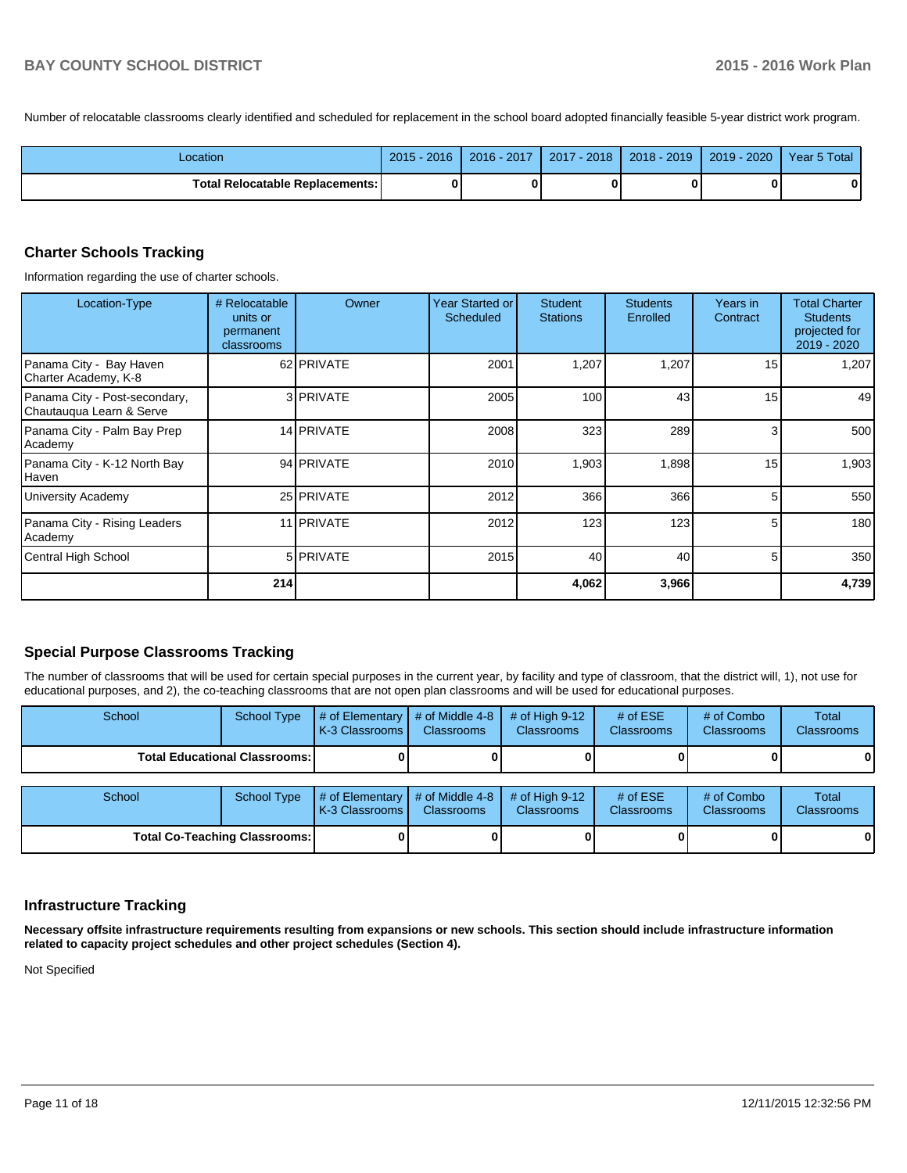Number of relocatable classrooms clearly identified and scheduled for replacement in the school board adopted financially feasible 5-year district work program.

| Location                          | $2015 - 2016$ | 2016 - 2017 | 2017 - 2018 | $2018 - 2019$ | $2019 - 2020$ | Year 5 Total |
|-----------------------------------|---------------|-------------|-------------|---------------|---------------|--------------|
| Total Relocatable Replacements: I | 0             |             |             |               |               | 0            |

#### **Charter Schools Tracking**

Information regarding the use of charter schools.

| Location-Type                                             | # Relocatable<br>units or<br>permanent<br>classrooms | Owner             | Year Started or<br><b>Scheduled</b> | <b>Student</b><br><b>Stations</b> | <b>Students</b><br>Enrolled | Years in<br>Contract | <b>Total Charter</b><br><b>Students</b><br>projected for<br>2019 - 2020 |
|-----------------------------------------------------------|------------------------------------------------------|-------------------|-------------------------------------|-----------------------------------|-----------------------------|----------------------|-------------------------------------------------------------------------|
| Panama City - Bay Haven<br>Charter Academy, K-8           |                                                      | 62 PRIVATE        | 2001                                | 1,207                             | 1,207                       | 15                   | 1,207                                                                   |
| Panama City - Post-secondary,<br>Chautauqua Learn & Serve |                                                      | 3 PRIVATE         | 2005                                | 100                               | 43                          | 15                   | 49                                                                      |
| Panama City - Palm Bay Prep<br>Academy                    |                                                      | 14 PRIVATE        | 2008                                | 323                               | 289                         | 3                    | 500                                                                     |
| Panama City - K-12 North Bay<br>Haven                     |                                                      | 94 PRIVATE        | 2010                                | 1,903                             | 1,898                       | 15                   | 1,903                                                                   |
| University Academy                                        |                                                      | 25 PRIVATE        | 2012                                | 366                               | 366                         | 5                    | 550                                                                     |
| Panama City - Rising Leaders<br>Academy                   |                                                      | 11 <b>PRIVATE</b> | 2012                                | 123                               | 123                         | 5                    | 180                                                                     |
| Central High School                                       |                                                      | 5 <b>PRIVATE</b>  | 2015                                | 40                                | 40                          | 5                    | 350                                                                     |
|                                                           | 214                                                  |                   |                                     | 4,062                             | 3,966                       |                      | 4,739                                                                   |

## **Special Purpose Classrooms Tracking**

The number of classrooms that will be used for certain special purposes in the current year, by facility and type of classroom, that the district will, 1), not use for educational purposes, and 2), the co-teaching classrooms that are not open plan classrooms and will be used for educational purposes.

| School                                 | <b>School Type</b> | # of Elementary<br>K-3 Classrooms | # of Middle 4-8<br><b>Classrooms</b> | # of High $9-12$<br><b>Classrooms</b> | # of $ESE$<br>Classrooms | # of Combo<br><b>Classrooms</b> | Total<br><b>Classrooms</b> |
|----------------------------------------|--------------------|-----------------------------------|--------------------------------------|---------------------------------------|--------------------------|---------------------------------|----------------------------|
| <b>Total Educational Classrooms: I</b> |                    |                                   |                                      |                                       |                          |                                 | 01                         |
|                                        |                    |                                   |                                      |                                       |                          |                                 |                            |
| School                                 | <b>School Type</b> | # of Elementary<br>K-3 Classrooms | # of Middle 4-8<br><b>Classrooms</b> | # of High $9-12$<br><b>Classrooms</b> | # of $ESE$<br>Classrooms | # of Combo<br><b>Classrooms</b> | Total<br><b>Classrooms</b> |
| <b>Total Co-Teaching Classrooms:</b>   |                    |                                   |                                      |                                       |                          |                                 | 01                         |

## **Infrastructure Tracking**

**Necessary offsite infrastructure requirements resulting from expansions or new schools. This section should include infrastructure information related to capacity project schedules and other project schedules (Section 4).**

Not Specified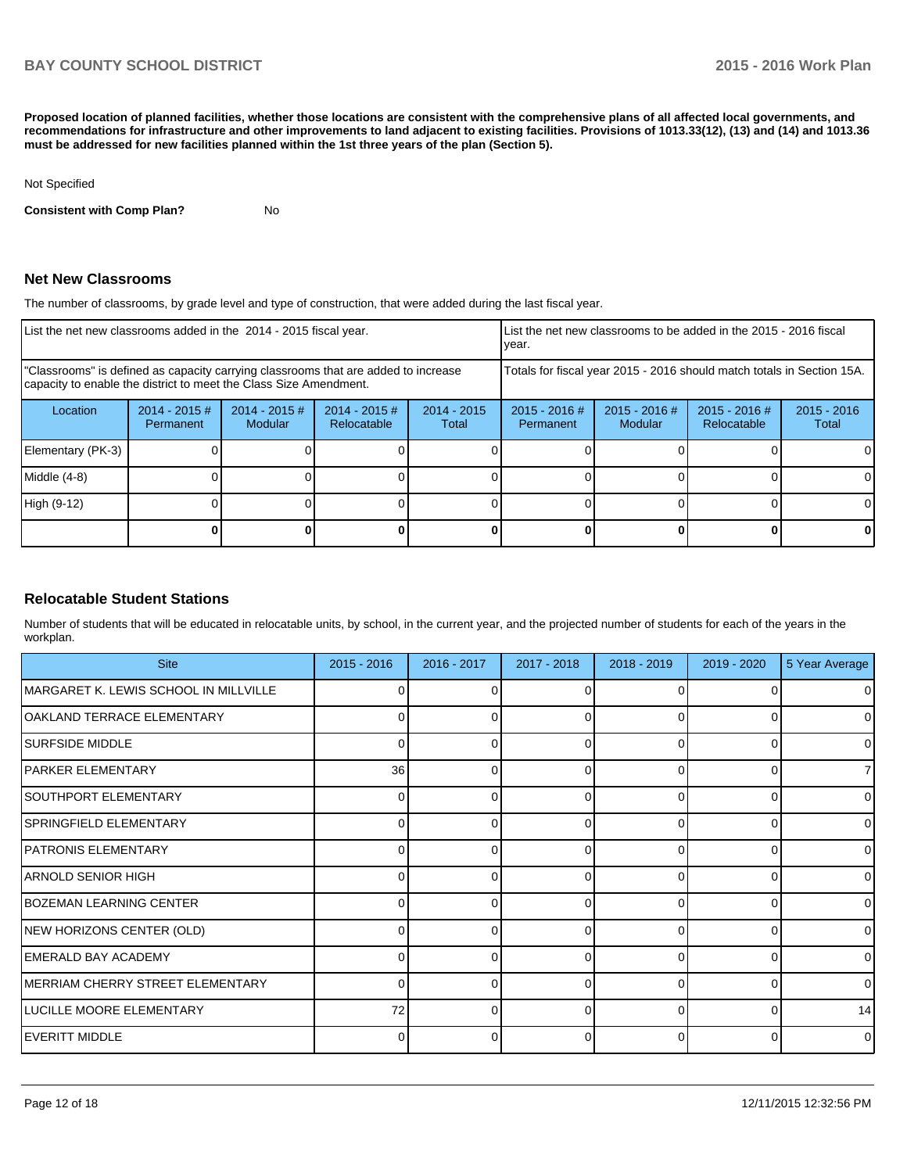**Proposed location of planned facilities, whether those locations are consistent with the comprehensive plans of all affected local governments, and recommendations for infrastructure and other improvements to land adjacent to existing facilities. Provisions of 1013.33(12), (13) and (14) and 1013.36 must be addressed for new facilities planned within the 1st three years of the plan (Section 5).**

#### Not Specified

**Consistent with Comp Plan?** No

## **Net New Classrooms**

The number of classrooms, by grade level and type of construction, that were added during the last fiscal year.

| List the net new classrooms added in the 2014 - 2015 fiscal year.                                                                                       | List the net new classrooms to be added in the 2015 - 2016 fiscal<br>vear. |                                   |                                |                        |                                                                        |                            |                                |                        |
|---------------------------------------------------------------------------------------------------------------------------------------------------------|----------------------------------------------------------------------------|-----------------------------------|--------------------------------|------------------------|------------------------------------------------------------------------|----------------------------|--------------------------------|------------------------|
| "Classrooms" is defined as capacity carrying classrooms that are added to increase<br>capacity to enable the district to meet the Class Size Amendment. |                                                                            |                                   |                                |                        | Totals for fiscal year 2015 - 2016 should match totals in Section 15A. |                            |                                |                        |
| Location                                                                                                                                                | $2014 - 2015 \#$<br>Permanent                                              | $2014 - 2015$ #<br><b>Modular</b> | $2014 - 2015$ #<br>Relocatable | $2014 - 2015$<br>Total | $2015 - 2016$ #<br>Permanent                                           | $2015 - 2016$ #<br>Modular | $2015 - 2016$ #<br>Relocatable | $2015 - 2016$<br>Total |
| Elementary (PK-3)                                                                                                                                       |                                                                            |                                   |                                |                        |                                                                        |                            |                                |                        |
| Middle (4-8)                                                                                                                                            |                                                                            |                                   |                                |                        |                                                                        |                            |                                | $\Omega$               |
| High (9-12)                                                                                                                                             |                                                                            |                                   |                                |                        |                                                                        |                            |                                |                        |
|                                                                                                                                                         |                                                                            |                                   |                                |                        |                                                                        |                            |                                |                        |

## **Relocatable Student Stations**

Number of students that will be educated in relocatable units, by school, in the current year, and the projected number of students for each of the years in the workplan.

| <b>Site</b>                           | $2015 - 2016$ | 2016 - 2017 | 2017 - 2018 | 2018 - 2019 | 2019 - 2020 | 5 Year Average |
|---------------------------------------|---------------|-------------|-------------|-------------|-------------|----------------|
| MARGARET K. LEWIS SCHOOL IN MILLVILLE |               |             |             |             |             | $\Omega$       |
| OAKLAND TERRACE ELEMENTARY            | 0             | o           | 0           | $\Omega$    | 0           | $\overline{0}$ |
| <b>SURFSIDE MIDDLE</b>                |               |             |             | U           | n           | $\Omega$       |
| <b>PARKER ELEMENTARY</b>              | 36            | 0           | 0           | $\Omega$    | 0           | $\overline{7}$ |
| SOUTHPORT ELEMENTARY                  |               |             | ∩           | U           | ∩           | $\Omega$       |
| SPRINGFIELD ELEMENTARY                | $\Omega$      | 0           | 0           | $\Omega$    | 0           | $\overline{0}$ |
| <b>PATRONIS ELEMENTARY</b>            |               |             |             | U           | ∩           | $\Omega$       |
| IARNOLD SENIOR HIGH                   | $\Omega$      | 0           | 0           | $\Omega$    | 0           | $\overline{0}$ |
| <b>BOZEMAN LEARNING CENTER</b>        |               |             |             |             | n           | $\Omega$       |
| NEW HORIZONS CENTER (OLD)             | $\Omega$      | 0           | 0           | $\Omega$    | $\Omega$    | $\overline{0}$ |
| <b>EMERALD BAY ACADEMY</b>            |               |             |             | ∩           | n           | $\Omega$       |
| MERRIAM CHERRY STREET ELEMENTARY      | $\Omega$      | 0           | 0           | $\Omega$    | 0           | $\Omega$       |
| LUCILLE MOORE ELEMENTARY              | 72            |             |             |             | n           | 14             |
| EVERITT MIDDLE                        |               | ი           | O           | $\Omega$    | 0           | $\overline{0}$ |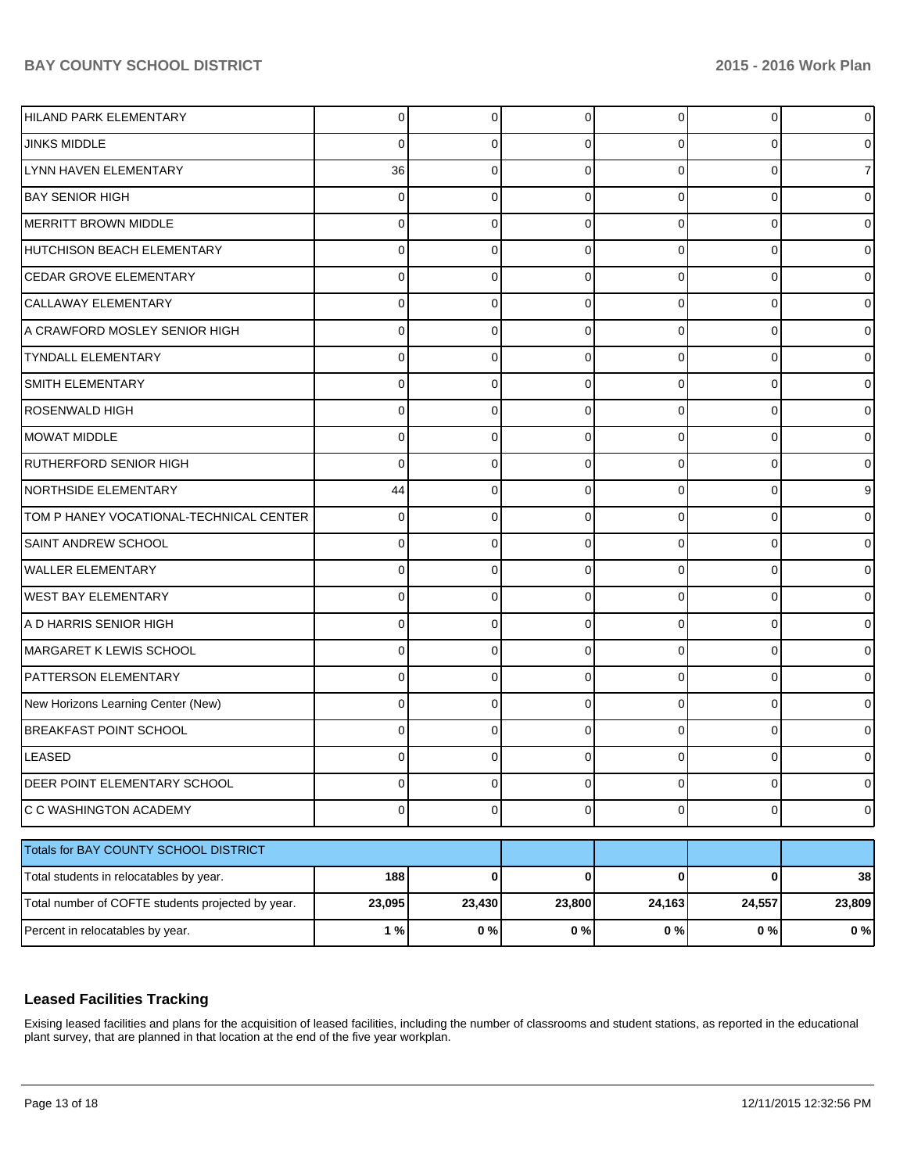| HILAND PARK ELEMENTARY                            | 0              | 0           | $\Omega$    | $\Omega$       | 0           | $\overline{0}$ |
|---------------------------------------------------|----------------|-------------|-------------|----------------|-------------|----------------|
| <b>JINKS MIDDLE</b>                               | 0              | 0           | n           | 0              | $\Omega$    | $\overline{0}$ |
| LYNN HAVEN ELEMENTARY                             | 36             | 0           | n           | $\Omega$       | $\Omega$    | $\overline{7}$ |
| BAY SENIOR HIGH                                   | 0              | 0           | 0           | $\Omega$       | 0           | $\overline{0}$ |
| MERRITT BROWN MIDDLE                              | 0              | 0           | n           | 0              | 0           | $\overline{0}$ |
| HUTCHISON BEACH ELEMENTARY                        | 0              | 0           | 0           | $\Omega$       | 0           | $\overline{0}$ |
| <b>CEDAR GROVE ELEMENTARY</b>                     | 0              | 0           | n           | $\Omega$       | 0           | $\overline{0}$ |
| CALLAWAY ELEMENTARY                               | 0              | 0           | 0           | $\Omega$       | 0           | $\overline{0}$ |
| A CRAWFORD MOSLEY SENIOR HIGH                     | 0              | 0           | n           | 0              | 0           | $\overline{0}$ |
| <b>TYNDALL ELEMENTARY</b>                         | 0              | 0           | 0           | $\Omega$       | 0           | $\overline{0}$ |
| <b>SMITH ELEMENTARY</b>                           | 0              | 0           | n           | $\Omega$       | 0           | $\overline{0}$ |
| <b>ROSENWALD HIGH</b>                             | 0              | 0           | 0           | $\Omega$       | 0           | $\overline{0}$ |
| MOWAT MIDDLE                                      | 0              | 0           | n           | 0              | 0           | $\overline{0}$ |
| <b>RUTHERFORD SENIOR HIGH</b>                     | 0              | 0           | 0           | $\Omega$       | 0           | $\overline{0}$ |
| NORTHSIDE ELEMENTARY                              | 44             | 0           | n           | 0              | 0           | 9              |
| TOM P HANEY VOCATIONAL-TECHNICAL CENTER           | 0              | 0           | 0           | $\Omega$       | 0           | $\overline{0}$ |
| <b>SAINT ANDREW SCHOOL</b>                        | 0              | 0           | n           | 0              | 0           | $\overline{0}$ |
| <b>WALLER ELEMENTARY</b>                          | 0              | 0           | 0           | $\Omega$       | 0           | $\overline{0}$ |
| <b>WEST BAY ELEMENTARY</b>                        | 0              | 0           | n           | 0              | $\Omega$    | $\overline{0}$ |
| A D HARRIS SENIOR HIGH                            | 0              | 0           | 0           | $\Omega$       | 0           | $\overline{0}$ |
| MARGARET K LEWIS SCHOOL                           | 0              | 0           | n           | 0              | 0           | $\overline{0}$ |
| <b>PATTERSON ELEMENTARY</b>                       | 0              | 0           | 0           | $\Omega$       | 0           | $\overline{0}$ |
| New Horizons Learning Center (New)                | 0              | 0           | n           | $\Omega$       | $\Omega$    | $\overline{0}$ |
| <b>BREAKFAST POINT SCHOOL</b>                     | 0              | 0           | n           | $\Omega$       | 0           | $\overline{0}$ |
| LEASED                                            | 0              | 0           |             | 0              | O           | 0              |
| DEER POINT ELEMENTARY SCHOOL                      | $\overline{0}$ | $\mathbf 0$ | 0           | $\overline{0}$ | $\mathbf 0$ | $\overline{0}$ |
| C C WASHINGTON ACADEMY                            | $\overline{0}$ | $\mathbf 0$ | 0           | $\overline{0}$ | $\mathbf 0$ | $\overline{O}$ |
| Totals for BAY COUNTY SCHOOL DISTRICT             |                |             |             |                |             |                |
| Total students in relocatables by year.           | 188            | $\bf{0}$    | $\mathbf 0$ | $\mathbf{0}$   | $\bf{0}$    | 38             |
| Total number of COFTE students projected by year. | 23,095         | 23,430      | 23,800      | 24,163         | 24,557      | 23,809         |
| Percent in relocatables by year.                  | 1%             | 0%          | 0%          | 0%             | $0\%$       | 0%             |

## **Leased Facilities Tracking**

Exising leased facilities and plans for the acquisition of leased facilities, including the number of classrooms and student stations, as reported in the educational plant survey, that are planned in that location at the end of the five year workplan.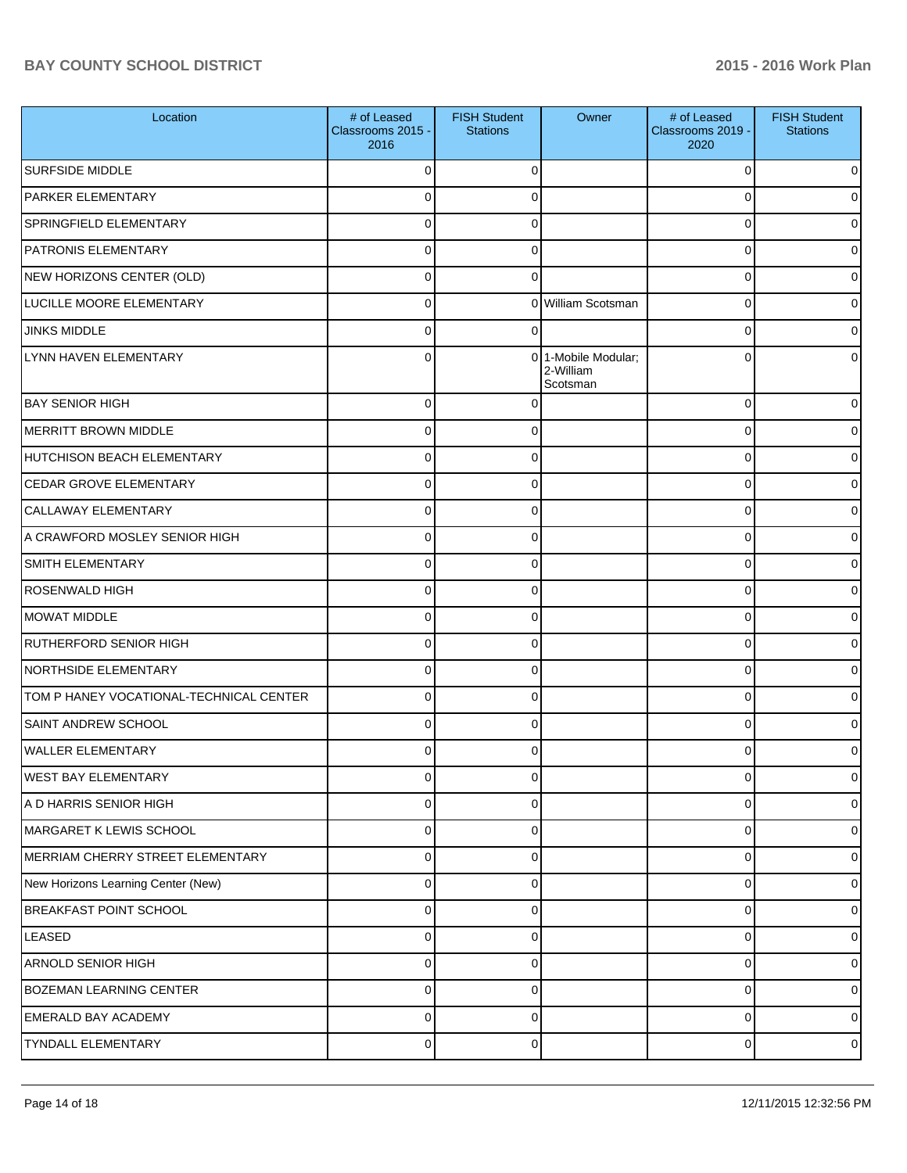| Location                                | # of Leased<br>Classrooms 2015 -<br>2016 | <b>FISH Student</b><br><b>Stations</b> | Owner                                        | # of Leased<br>Classrooms 2019 -<br>2020 | <b>FISH Student</b><br><b>Stations</b> |
|-----------------------------------------|------------------------------------------|----------------------------------------|----------------------------------------------|------------------------------------------|----------------------------------------|
| <b>SURFSIDE MIDDLE</b>                  | 0                                        | 0                                      |                                              | 0                                        | 0                                      |
| PARKER ELEMENTARY                       | $\mathbf 0$                              | 0                                      |                                              | 0                                        | 0                                      |
| SPRINGFIELD ELEMENTARY                  | $\Omega$                                 | 0                                      |                                              | 0                                        | 0                                      |
| PATRONIS ELEMENTARY                     | $\mathbf 0$                              | 0                                      |                                              | 0                                        | 0                                      |
| NEW HORIZONS CENTER (OLD)               | 0                                        | $\Omega$                               |                                              | 0                                        | 0                                      |
| LUCILLE MOORE ELEMENTARY                | $\mathbf 0$                              |                                        | 0 William Scotsman                           | 0                                        | 0                                      |
| <b>JINKS MIDDLE</b>                     | $\Omega$                                 | 0                                      |                                              | 0                                        | 0                                      |
| LYNN HAVEN ELEMENTARY                   | 0                                        |                                        | 0 1-Mobile Modular;<br>2-William<br>Scotsman | 0                                        | 0                                      |
| <b>BAY SENIOR HIGH</b>                  | 0                                        |                                        |                                              | 0                                        | 0                                      |
| MERRITT BROWN MIDDLE                    | 0                                        | 0                                      |                                              | 0                                        | 0                                      |
| HUTCHISON BEACH ELEMENTARY              | 0                                        | 0                                      |                                              | 0                                        | 0                                      |
| <b>CEDAR GROVE ELEMENTARY</b>           | 0                                        | 0                                      |                                              | 0                                        | 0                                      |
| <b>CALLAWAY ELEMENTARY</b>              | 0                                        | 0                                      |                                              | 0                                        | 0                                      |
| A CRAWFORD MOSLEY SENIOR HIGH           | 0                                        | 0                                      |                                              | 0                                        | 0                                      |
| <b>SMITH ELEMENTARY</b>                 | 0                                        | 0                                      |                                              | 0                                        | 0                                      |
| <b>ROSENWALD HIGH</b>                   | 0                                        | 0                                      |                                              | 0                                        | 0                                      |
| MOWAT MIDDLE                            | 0                                        | 0                                      |                                              | 0                                        | 0                                      |
| <b>RUTHERFORD SENIOR HIGH</b>           | 0                                        | 0                                      |                                              | 0                                        | 0                                      |
| NORTHSIDE ELEMENTARY                    | $\Omega$                                 | $\Omega$                               |                                              | 0                                        | 0                                      |
| TOM P HANEY VOCATIONAL-TECHNICAL CENTER | 0                                        | 0                                      |                                              | 0                                        | 0                                      |
| <b>SAINT ANDREW SCHOOL</b>              | $\Omega$                                 | $\Omega$                               |                                              | 0                                        | 01                                     |
| WALLER ELEMENTARY                       | 0                                        | 0                                      |                                              | 0                                        | 01                                     |
| <b>WEST BAY ELEMENTARY</b>              | $\overline{0}$                           | $\overline{0}$                         |                                              | $\overline{0}$                           | $\circ$                                |
| A D HARRIS SENIOR HIGH                  | 0                                        | 0                                      |                                              | 0                                        | $\overline{0}$                         |
| MARGARET K LEWIS SCHOOL                 | $\mathbf 0$                              | 0                                      |                                              | 0                                        | $\overline{0}$                         |
| MERRIAM CHERRY STREET ELEMENTARY        | $\mathbf 0$                              | $\Omega$                               |                                              | 0                                        | $\overline{0}$                         |
| New Horizons Learning Center (New)      | $\mathbf 0$                              | 0                                      |                                              | 0                                        | $\overline{0}$                         |
| <b>BREAKFAST POINT SCHOOL</b>           | $\mathbf 0$                              | $\Omega$                               |                                              | 0                                        | $\overline{0}$                         |
| <b>LEASED</b>                           | $\mathbf 0$                              | $\Omega$                               |                                              | 0                                        | $\overline{0}$                         |
| ARNOLD SENIOR HIGH                      | $\mathbf 0$                              | 0                                      |                                              | 0                                        | $\overline{0}$                         |
| <b>BOZEMAN LEARNING CENTER</b>          | $\mathbf 0$                              | 0                                      |                                              | 0                                        | $\overline{0}$                         |
| <b>EMERALD BAY ACADEMY</b>              | $\mathbf 0$                              | $\Omega$                               |                                              | 0                                        | $\overline{0}$                         |
| TYNDALL ELEMENTARY                      | $\pmb{0}$                                | 0                                      |                                              | 0                                        | $\circ$                                |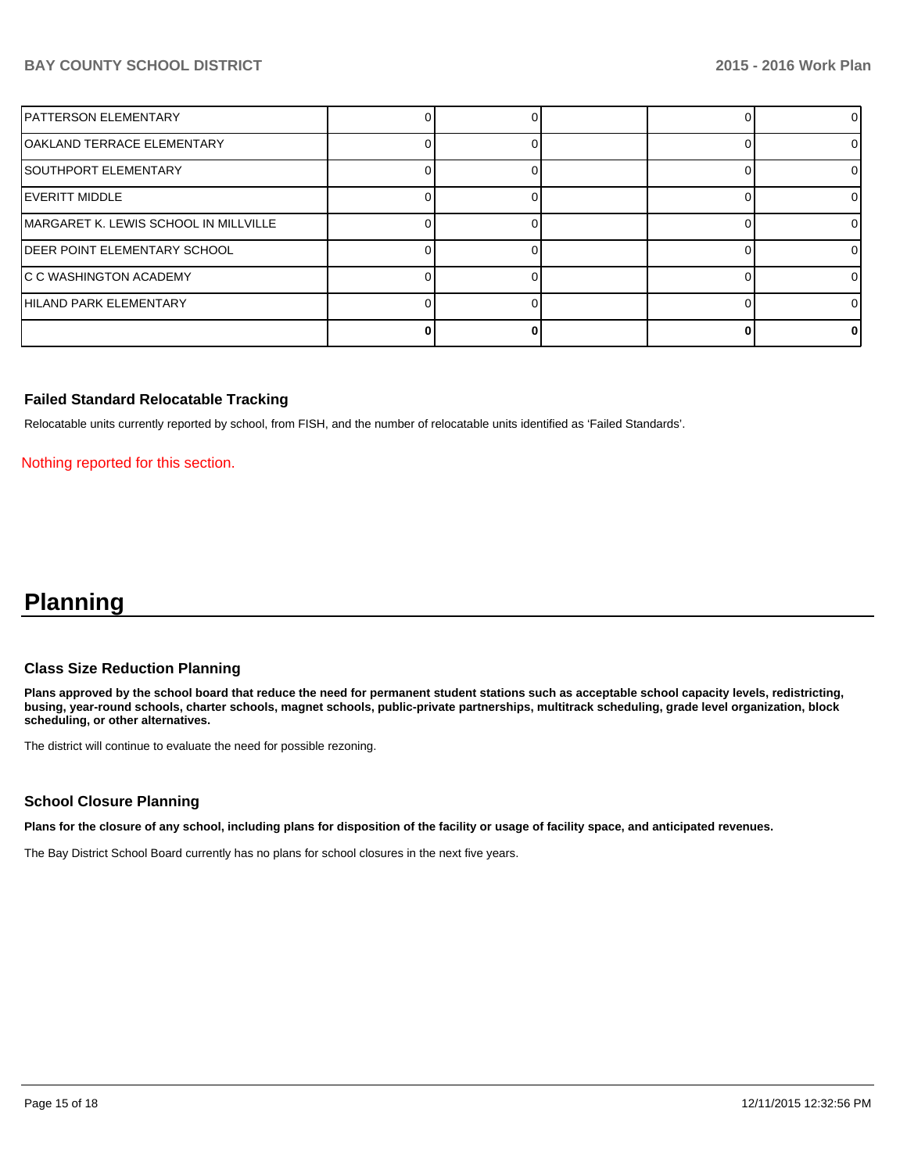| IPATTERSON ELEMENTARY                 |  |  |    |
|---------------------------------------|--|--|----|
| OAKLAND TERRACE ELEMENTARY            |  |  |    |
| ISOUTHPORT ELEMENTARY                 |  |  |    |
| IEVERITT MIDDLE                       |  |  | ΩI |
| MARGARET K. LEWIS SCHOOL IN MILLVILLE |  |  | ΩI |
| IDEER POINT ELEMENTARY SCHOOL         |  |  |    |
| IC C WASHINGTON ACADEMY               |  |  |    |
| HILAND PARK ELEMENTARY                |  |  |    |
|                                       |  |  | 0  |

## **Failed Standard Relocatable Tracking**

Relocatable units currently reported by school, from FISH, and the number of relocatable units identified as 'Failed Standards'.

Nothing reported for this section.

## **Planning**

#### **Class Size Reduction Planning**

**Plans approved by the school board that reduce the need for permanent student stations such as acceptable school capacity levels, redistricting, busing, year-round schools, charter schools, magnet schools, public-private partnerships, multitrack scheduling, grade level organization, block scheduling, or other alternatives.**

The district will continue to evaluate the need for possible rezoning.

## **School Closure Planning**

**Plans for the closure of any school, including plans for disposition of the facility or usage of facility space, and anticipated revenues.**

The Bay District School Board currently has no plans for school closures in the next five years.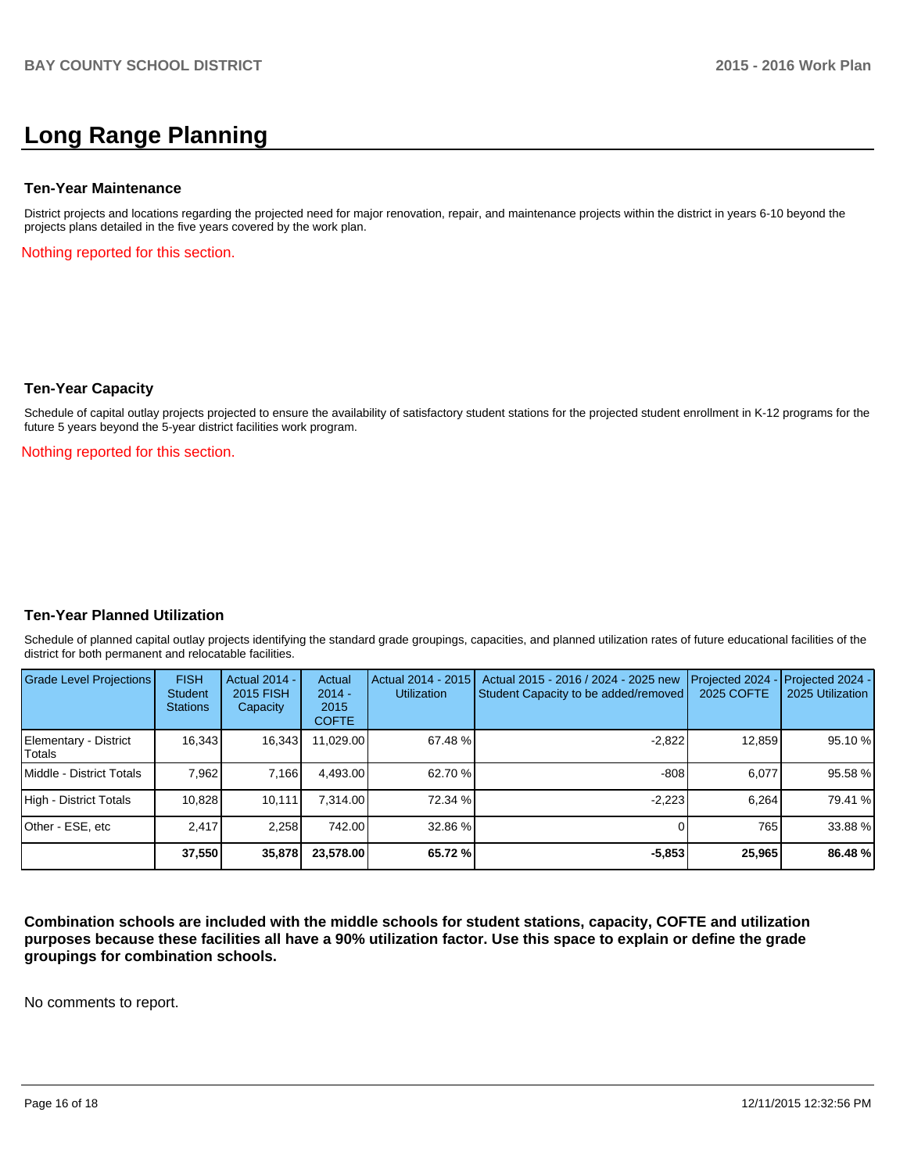## **Long Range Planning**

#### **Ten-Year Maintenance**

District projects and locations regarding the projected need for major renovation, repair, and maintenance projects within the district in years 6-10 beyond the projects plans detailed in the five years covered by the work plan.

Nothing reported for this section.

#### **Ten-Year Capacity**

Schedule of capital outlay projects projected to ensure the availability of satisfactory student stations for the projected student enrollment in K-12 programs for the future 5 years beyond the 5-year district facilities work program.

Nothing reported for this section.

## **Ten-Year Planned Utilization**

Schedule of planned capital outlay projects identifying the standard grade groupings, capacities, and planned utilization rates of future educational facilities of the district for both permanent and relocatable facilities.

| Grade Level Projections         | <b>FISH</b><br>Student<br><b>Stations</b> | Actual 2014 -<br>2015 FISH<br>Capacity | Actual<br>$2014 -$<br>2015<br><b>COFTE</b> | Actual 2014 - 2015<br><b>Utilization</b> | Actual 2015 - 2016 / 2024 - 2025 new<br>Student Capacity to be added/removed | Projected 2024<br>2025 COFTE | Projected 2024 -<br>2025 Utilization |
|---------------------------------|-------------------------------------------|----------------------------------------|--------------------------------------------|------------------------------------------|------------------------------------------------------------------------------|------------------------------|--------------------------------------|
| Elementary - District<br>Totals | 16,343                                    | 16,343                                 | 11,029.00                                  | 67.48 %                                  | $-2,822$                                                                     | 12,859                       | 95.10 %                              |
| Middle - District Totals        | 7.962                                     | 7.166                                  | 4.493.00                                   | 62.70 %                                  | $-808$                                                                       | 6.077                        | 95.58 %                              |
| High - District Totals          | 10.828                                    | 10.111                                 | 7.314.00                                   | 72.34 %                                  | $-2.223$                                                                     | 6.264                        | 79.41 %                              |
| Other - ESE, etc                | 2.417                                     | 2,258                                  | 742.00                                     | 32.86 %                                  |                                                                              | 765                          | 33.88 %                              |
|                                 | 37,550                                    | 35,878                                 | 23,578.00                                  | 65.72 %                                  | $-5,853$                                                                     | 25,965                       | 86.48 %                              |

**Combination schools are included with the middle schools for student stations, capacity, COFTE and utilization purposes because these facilities all have a 90% utilization factor. Use this space to explain or define the grade groupings for combination schools.**

No comments to report.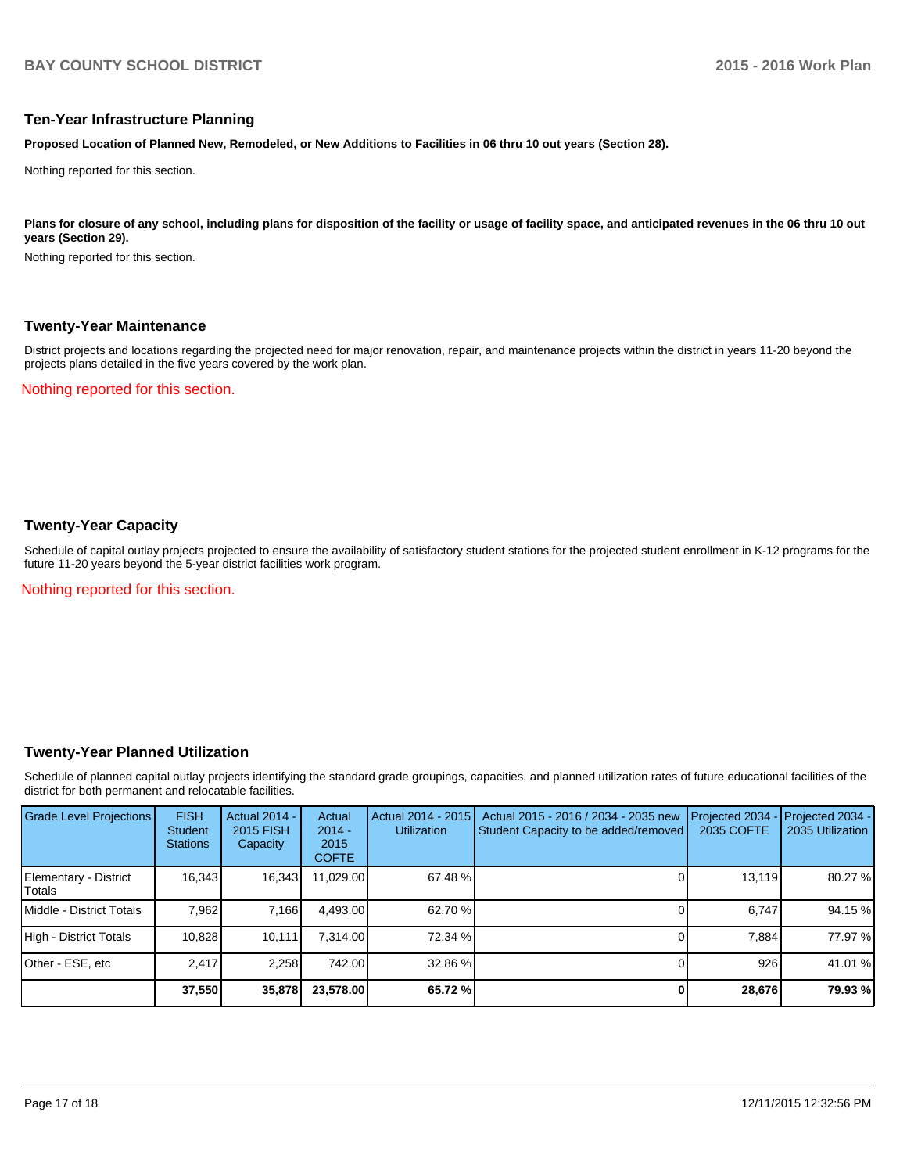## **Ten-Year Infrastructure Planning**

**Proposed Location of Planned New, Remodeled, or New Additions to Facilities in 06 thru 10 out years (Section 28).**

Nothing reported for this section.

Plans for closure of any school, including plans for disposition of the facility or usage of facility space, and anticipated revenues in the 06 thru 10 out **years (Section 29).**

Nothing reported for this section.

#### **Twenty-Year Maintenance**

District projects and locations regarding the projected need for major renovation, repair, and maintenance projects within the district in years 11-20 beyond the projects plans detailed in the five years covered by the work plan.

Nothing reported for this section.

## **Twenty-Year Capacity**

Schedule of capital outlay projects projected to ensure the availability of satisfactory student stations for the projected student enrollment in K-12 programs for the future 11-20 years beyond the 5-year district facilities work program.

Nothing reported for this section.

## **Twenty-Year Planned Utilization**

Schedule of planned capital outlay projects identifying the standard grade groupings, capacities, and planned utilization rates of future educational facilities of the district for both permanent and relocatable facilities.

| <b>Grade Level Projections</b>   | <b>FISH</b><br><b>Student</b><br><b>Stations</b> | <b>Actual 2014 -</b><br>2015 FISH<br>Capacity | Actual<br>$2014 -$<br>2015<br><b>COFTE</b> | Actual 2014 - 2015<br><b>Utilization</b> | Actual 2015 - 2016 / 2034 - 2035 new<br>Student Capacity to be added/removed | Projected 2034<br>2035 COFTE | Projected 2034 -<br>2035 Utilization |
|----------------------------------|--------------------------------------------------|-----------------------------------------------|--------------------------------------------|------------------------------------------|------------------------------------------------------------------------------|------------------------------|--------------------------------------|
| Elementary - District<br> Totals | 16,343                                           | 16,343                                        | 11,029.00                                  | 67.48 %                                  |                                                                              | 13,119                       | 80.27 %                              |
| <b>IMiddle - District Totals</b> | 7.962                                            | 7,166                                         | 4.493.00                                   | 62.70 %                                  |                                                                              | 6.747                        | 94.15 %                              |
| High - District Totals           | 10.828                                           | 10.111                                        | 7.314.00                                   | 72.34 %                                  |                                                                              | 7.884                        | 77.97 %                              |
| Other - ESE, etc                 | 2.417                                            | 2,258                                         | 742.00                                     | 32.86 %                                  |                                                                              | 926                          | 41.01 %                              |
|                                  | 37,550                                           | 35,878                                        | 23,578.00                                  | 65.72 %                                  |                                                                              | 28,676                       | 79.93 %                              |